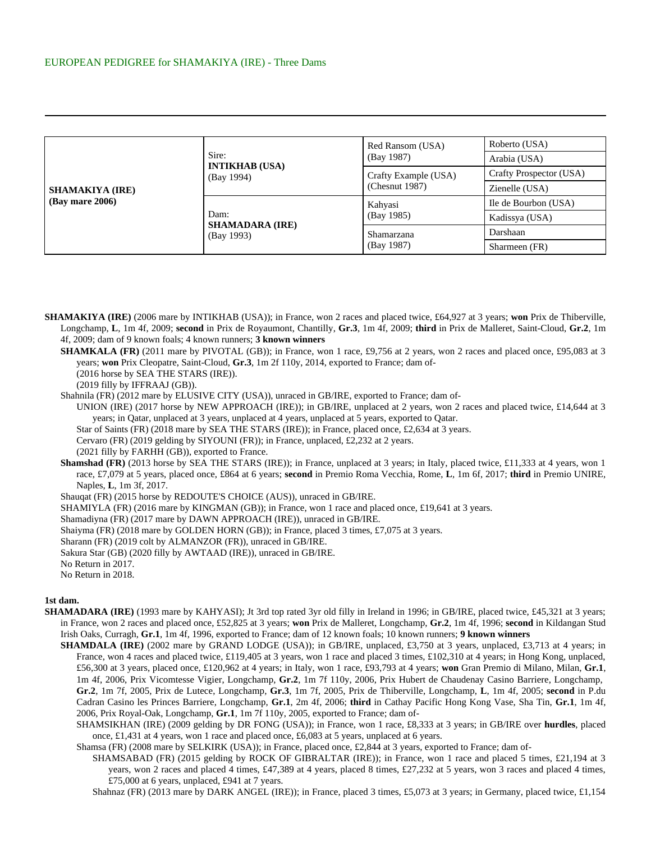| <b>SHAMAKIYA (IRE)</b><br>$(Bay \text{ mare } 2006)$ | Sire:<br><b>INTIKHAB (USA)</b><br>(Bay 1994) | Red Ransom (USA)<br>(Bay 1987)         | Roberto (USA)           |
|------------------------------------------------------|----------------------------------------------|----------------------------------------|-------------------------|
|                                                      |                                              |                                        | Arabia (USA)            |
|                                                      |                                              | Crafty Example (USA)<br>(Chesnut 1987) | Crafty Prospector (USA) |
|                                                      |                                              |                                        | Zienelle (USA)          |
|                                                      | Dam:<br><b>SHAMADARA (IRE)</b><br>(Bay 1993) | Kahyasi<br>(Bay 1985)                  | Ile de Bourbon (USA)    |
|                                                      |                                              |                                        | Kadissya (USA)          |
|                                                      |                                              | Shamarzana<br>(Bay 1987)               | Darshaan                |
|                                                      |                                              |                                        | Sharmeen (FR)           |

**SHAMAKIYA (IRE)** (2006 mare by INTIKHAB (USA)); in France, won 2 races and placed twice, £64,927 at 3 years; **won** Prix de Thiberville, Longchamp, **L**, 1m 4f, 2009; **second** in Prix de Royaumont, Chantilly, **Gr.3**, 1m 4f, 2009; **third** in Prix de Malleret, Saint-Cloud, **Gr.2**, 1m 4f, 2009; dam of 9 known foals; 4 known runners; **3 known winners**

**SHAMKALA (FR)** (2011 mare by PIVOTAL (GB)); in France, won 1 race, £9,756 at 2 years, won 2 races and placed once, £95,083 at 3 years; **won** Prix Cleopatre, Saint-Cloud, **Gr.3**, 1m 2f 110y, 2014, exported to France; dam of-

(2016 horse by SEA THE STARS (IRE)).

(2019 filly by IFFRAAJ (GB)).

Shahnila (FR) (2012 mare by ELUSIVE CITY (USA)), unraced in GB/IRE, exported to France; dam of-

UNION (IRE) (2017 horse by NEW APPROACH (IRE)); in GB/IRE, unplaced at 2 years, won 2 races and placed twice, £14,644 at 3 years; in Qatar, unplaced at 3 years, unplaced at 4 years, unplaced at 5 years, exported to Qatar.

Star of Saints (FR) (2018 mare by SEA THE STARS (IRE)); in France, placed once, £2,634 at 3 years.

Cervaro (FR) (2019 gelding by SIYOUNI (FR)); in France, unplaced, £2,232 at 2 years.

(2021 filly by FARHH (GB)), exported to France.

**Shamshad (FR)** (2013 horse by SEA THE STARS (IRE)); in France, unplaced at 3 years; in Italy, placed twice, £11,333 at 4 years, won 1 race, £7,079 at 5 years, placed once, £864 at 6 years; **second** in Premio Roma Vecchia, Rome, **L**, 1m 6f, 2017; **third** in Premio UNIRE, Naples, **L**, 1m 3f, 2017.

Shauqat (FR) (2015 horse by REDOUTE'S CHOICE (AUS)), unraced in GB/IRE.

SHAMIYLA (FR) (2016 mare by KINGMAN (GB)); in France, won 1 race and placed once, £19,641 at 3 years.

Shamadiyna (FR) (2017 mare by DAWN APPROACH (IRE)), unraced in GB/IRE.

Shaiyma (FR) (2018 mare by GOLDEN HORN (GB)); in France, placed 3 times, £7,075 at 3 years.

Sharann (FR) (2019 colt by ALMANZOR (FR)), unraced in GB/IRE.

Sakura Star (GB) (2020 filly by AWTAAD (IRE)), unraced in GB/IRE.

No Return in 2017.

No Return in 2018.

## **1st dam.**

- **SHAMADARA (IRE)** (1993 mare by KAHYASI); Jt 3rd top rated 3yr old filly in Ireland in 1996; in GB/IRE, placed twice, £45,321 at 3 years; in France, won 2 races and placed once, £52,825 at 3 years; **won** Prix de Malleret, Longchamp, **Gr.2**, 1m 4f, 1996; **second** in Kildangan Stud Irish Oaks, Curragh, **Gr.1**, 1m 4f, 1996, exported to France; dam of 12 known foals; 10 known runners; **9 known winners**
	- **SHAMDALA (IRE)** (2002 mare by GRAND LODGE (USA)); in GB/IRE, unplaced, £3,750 at 3 years, unplaced, £3,713 at 4 years; in France, won 4 races and placed twice, £119,405 at 3 years, won 1 race and placed 3 times, £102,310 at 4 years; in Hong Kong, unplaced, £56,300 at 3 years, placed once, £120,962 at 4 years; in Italy, won 1 race, £93,793 at 4 years; **won** Gran Premio di Milano, Milan, **Gr.1**, 1m 4f, 2006, Prix Vicomtesse Vigier, Longchamp, **Gr.2**, 1m 7f 110y, 2006, Prix Hubert de Chaudenay Casino Barriere, Longchamp, **Gr.2**, 1m 7f, 2005, Prix de Lutece, Longchamp, **Gr.3**, 1m 7f, 2005, Prix de Thiberville, Longchamp, **L**, 1m 4f, 2005; **second** in P.du Cadran Casino les Princes Barriere, Longchamp, **Gr.1**, 2m 4f, 2006; **third** in Cathay Pacific Hong Kong Vase, Sha Tin, **Gr.1**, 1m 4f, 2006, Prix Royal-Oak, Longchamp, **Gr.1**, 1m 7f 110y, 2005, exported to France; dam of-

SHAMSIKHAN (IRE) (2009 gelding by DR FONG (USA)); in France, won 1 race, £8,333 at 3 years; in GB/IRE over **hurdles**, placed once, £1,431 at 4 years, won 1 race and placed once, £6,083 at 5 years, unplaced at 6 years.

Shamsa (FR) (2008 mare by SELKIRK (USA)); in France, placed once, £2,844 at 3 years, exported to France; dam of-

SHAMSABAD (FR) (2015 gelding by ROCK OF GIBRALTAR (IRE)); in France, won 1 race and placed 5 times, £21,194 at 3 years, won 2 races and placed 4 times, £47,389 at 4 years, placed 8 times, £27,232 at 5 years, won 3 races and placed 4 times, £75,000 at 6 years, unplaced, £941 at 7 years.

Shahnaz (FR) (2013 mare by DARK ANGEL (IRE)); in France, placed 3 times, £5,073 at 3 years; in Germany, placed twice, £1,154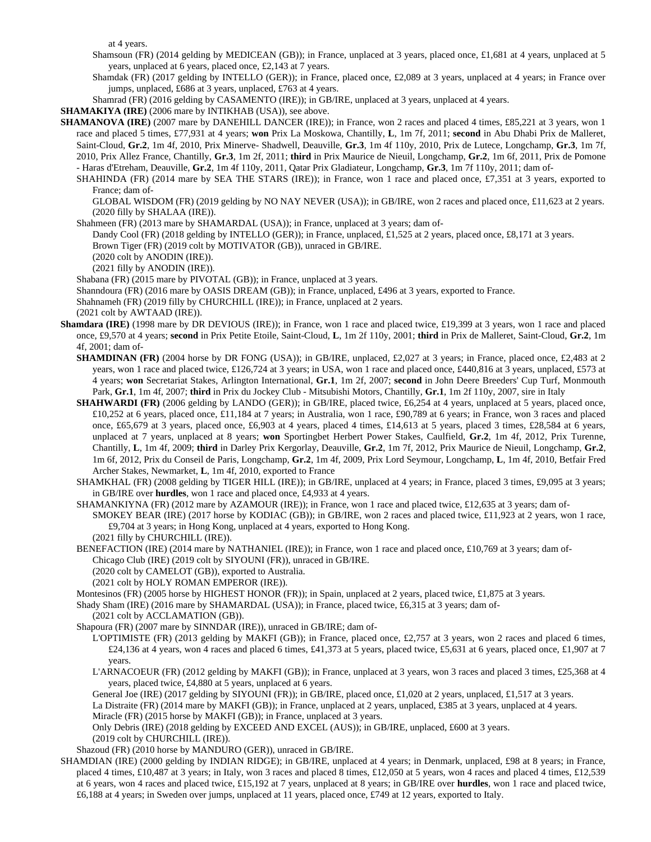at 4 years.

- Shamsoun (FR) (2014 gelding by MEDICEAN (GB)); in France, unplaced at 3 years, placed once, £1,681 at 4 years, unplaced at 5 years, unplaced at 6 years, placed once, £2,143 at 7 years.
- Shamdak (FR) (2017 gelding by INTELLO (GER)); in France, placed once, £2,089 at 3 years, unplaced at 4 years; in France over jumps, unplaced, £686 at 3 years, unplaced, £763 at 4 years.

Shamrad (FR) (2016 gelding by CASAMENTO (IRE)); in GB/IRE, unplaced at 3 years, unplaced at 4 years.

- **SHAMAKIYA (IRE)** (2006 mare by INTIKHAB (USA)), see above.
- **SHAMANOVA (IRE)** (2007 mare by DANEHILL DANCER (IRE)); in France, won 2 races and placed 4 times, £85,221 at 3 years, won 1 race and placed 5 times, £77,931 at 4 years; **won** Prix La Moskowa, Chantilly, **L**, 1m 7f, 2011; **second** in Abu Dhabi Prix de Malleret, Saint-Cloud, **Gr.2**, 1m 4f, 2010, Prix Minerve- Shadwell, Deauville, **Gr.3**, 1m 4f 110y, 2010, Prix de Lutece, Longchamp, **Gr.3**, 1m 7f, 2010, Prix Allez France, Chantilly, **Gr.3**, 1m 2f, 2011; **third** in Prix Maurice de Nieuil, Longchamp, **Gr.2**, 1m 6f, 2011, Prix de Pomone - Haras d'Etreham, Deauville, **Gr.2**, 1m 4f 110y, 2011, Qatar Prix Gladiateur, Longchamp, **Gr.3**, 1m 7f 110y, 2011; dam of-
	- SHAHINDA (FR) (2014 mare by SEA THE STARS (IRE)); in France, won 1 race and placed once, £7,351 at 3 years, exported to France; dam of-

GLOBAL WISDOM (FR) (2019 gelding by NO NAY NEVER (USA)); in GB/IRE, won 2 races and placed once, £11,623 at 2 years. (2020 filly by SHALAA (IRE)).

- Shahmeen (FR) (2013 mare by SHAMARDAL (USA)); in France, unplaced at 3 years; dam of-
	- Dandy Cool (FR) (2018 gelding by INTELLO (GER)); in France, unplaced, £1,525 at 2 years, placed once, £8,171 at 3 years.
	- Brown Tiger (FR) (2019 colt by MOTIVATOR (GB)), unraced in GB/IRE.
	- (2020 colt by ANODIN (IRE)).
	- (2021 filly by ANODIN (IRE)).

Shabana (FR) (2015 mare by PIVOTAL (GB)); in France, unplaced at 3 years.

Shanndoura (FR) (2016 mare by OASIS DREAM (GB)); in France, unplaced, £496 at 3 years, exported to France.

Shahnameh (FR) (2019 filly by CHURCHILL (IRE)); in France, unplaced at 2 years.

(2021 colt by AWTAAD (IRE)).

- **Shamdara (IRE)** (1998 mare by DR DEVIOUS (IRE)); in France, won 1 race and placed twice, £19,399 at 3 years, won 1 race and placed once, £9,570 at 4 years; **second** in Prix Petite Etoile, Saint-Cloud, **L**, 1m 2f 110y, 2001; **third** in Prix de Malleret, Saint-Cloud, **Gr.2**, 1m 4f, 2001; dam of-
	- **SHAMDINAN (FR)** (2004 horse by DR FONG (USA)); in GB/IRE, unplaced, £2,027 at 3 years; in France, placed once, £2,483 at 2 years, won 1 race and placed twice, £126,724 at 3 years; in USA, won 1 race and placed once, £440,816 at 3 years, unplaced, £573 at 4 years; **won** Secretariat Stakes, Arlington International, **Gr.1**, 1m 2f, 2007; **second** in John Deere Breeders' Cup Turf, Monmouth Park, **Gr.1**, 1m 4f, 2007; **third** in Prix du Jockey Club - Mitsubishi Motors, Chantilly, **Gr.1**, 1m 2f 110y, 2007, sire in Italy
	- **SHAHWARDI (FR)** (2006 gelding by LANDO (GER)); in GB/IRE, placed twice, £6,254 at 4 years, unplaced at 5 years, placed once, £10,252 at 6 years, placed once, £11,184 at 7 years; in Australia, won 1 race, £90,789 at 6 years; in France, won 3 races and placed once, £65,679 at 3 years, placed once, £6,903 at 4 years, placed 4 times, £14,613 at 5 years, placed 3 times, £28,584 at 6 years, unplaced at 7 years, unplaced at 8 years; **won** Sportingbet Herbert Power Stakes, Caulfield, **Gr.2**, 1m 4f, 2012, Prix Turenne, Chantilly, **L**, 1m 4f, 2009; **third** in Darley Prix Kergorlay, Deauville, **Gr.2**, 1m 7f, 2012, Prix Maurice de Nieuil, Longchamp, **Gr.2**, 1m 6f, 2012, Prix du Conseil de Paris, Longchamp, **Gr.2**, 1m 4f, 2009, Prix Lord Seymour, Longchamp, **L**, 1m 4f, 2010, Betfair Fred Archer Stakes, Newmarket, **L**, 1m 4f, 2010, exported to France
	- SHAMKHAL (FR) (2008 gelding by TIGER HILL (IRE)); in GB/IRE, unplaced at 4 years; in France, placed 3 times, £9,095 at 3 years; in GB/IRE over **hurdles**, won 1 race and placed once, £4,933 at 4 years.
	- SHAMANKIYNA (FR) (2012 mare by AZAMOUR (IRE)); in France, won 1 race and placed twice, £12,635 at 3 years; dam of-SMOKEY BEAR (IRE) (2017 horse by KODIAC (GB)); in GB/IRE, won 2 races and placed twice, £11,923 at 2 years, won 1 race, £9,704 at 3 years; in Hong Kong, unplaced at 4 years, exported to Hong Kong. (2021 filly by CHURCHILL (IRE)).
	- BENEFACTION (IRE) (2014 mare by NATHANIEL (IRE)); in France, won 1 race and placed once, £10,769 at 3 years; dam of-Chicago Club (IRE) (2019 colt by SIYOUNI (FR)), unraced in GB/IRE.
		- (2020 colt by CAMELOT (GB)), exported to Australia.
		- (2021 colt by HOLY ROMAN EMPEROR (IRE)).
	- Montesinos (FR) (2005 horse by HIGHEST HONOR (FR)); in Spain, unplaced at 2 years, placed twice, £1,875 at 3 years.
	- Shady Sham (IRE) (2016 mare by SHAMARDAL (USA)); in France, placed twice, £6,315 at 3 years; dam of-
	- (2021 colt by ACCLAMATION (GB)).
	- Shapoura (FR) (2007 mare by SINNDAR (IRE)), unraced in GB/IRE; dam of-
		- L'OPTIMISTE (FR) (2013 gelding by MAKFI (GB)); in France, placed once, £2,757 at 3 years, won 2 races and placed 6 times, £24,136 at 4 years, won 4 races and placed 6 times, £41,373 at 5 years, placed twice, £5,631 at 6 years, placed once, £1,907 at 7 years.
		- L'ARNACOEUR (FR) (2012 gelding by MAKFI (GB)); in France, unplaced at 3 years, won 3 races and placed 3 times, £25,368 at 4 years, placed twice, £4,880 at 5 years, unplaced at 6 years.

General Joe (IRE) (2017 gelding by SIYOUNI (FR)); in GB/IRE, placed once, £1,020 at 2 years, unplaced, £1,517 at 3 years.

La Distraite (FR) (2014 mare by MAKFI (GB)); in France, unplaced at 2 years, unplaced, £385 at 3 years, unplaced at 4 years. Miracle (FR) (2015 horse by MAKFI (GB)); in France, unplaced at 3 years.

Only Debris (IRE) (2018 gelding by EXCEED AND EXCEL (AUS)); in GB/IRE, unplaced, £600 at 3 years.

(2019 colt by CHURCHILL (IRE)).

Shazoud (FR) (2010 horse by MANDURO (GER)), unraced in GB/IRE.

SHAMDIAN (IRE) (2000 gelding by INDIAN RIDGE); in GB/IRE, unplaced at 4 years; in Denmark, unplaced, £98 at 8 years; in France, placed 4 times, £10,487 at 3 years; in Italy, won 3 races and placed 8 times, £12,050 at 5 years, won 4 races and placed 4 times, £12,539 at 6 years, won 4 races and placed twice, £15,192 at 7 years, unplaced at 8 years; in GB/IRE over **hurdles**, won 1 race and placed twice, £6,188 at 4 years; in Sweden over jumps, unplaced at 11 years, placed once, £749 at 12 years, exported to Italy.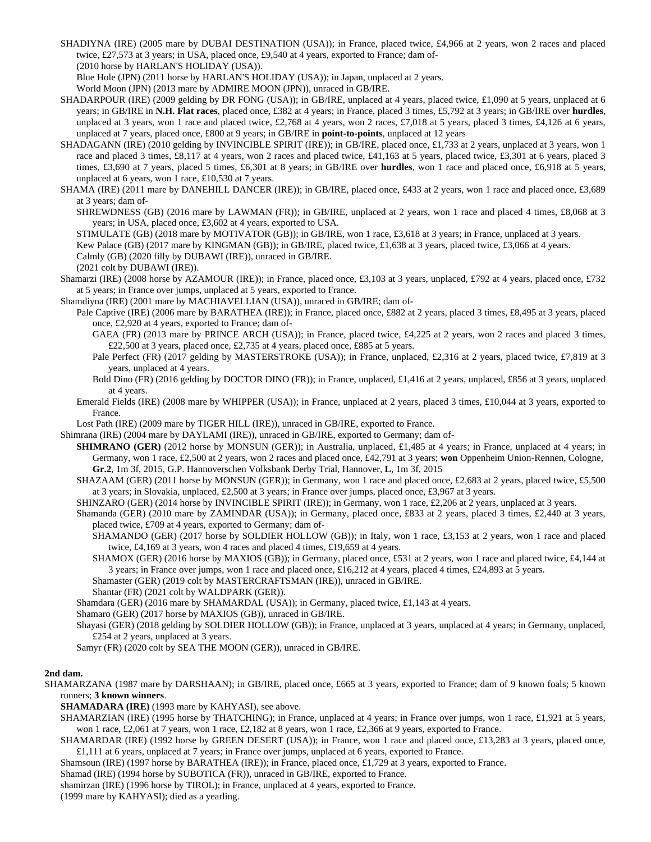SHADIYNA (IRE) (2005 mare by DUBAI DESTINATION (USA)); in France, placed twice, £4,966 at 2 years, won 2 races and placed twice, £27,573 at 3 years; in USA, placed once, £9,540 at 4 years, exported to France; dam of-

(2010 horse by HARLAN'S HOLIDAY (USA)).

Blue Hole (JPN) (2011 horse by HARLAN'S HOLIDAY (USA)); in Japan, unplaced at 2 years.

World Moon (JPN) (2013 mare by ADMIRE MOON (JPN)), unraced in GB/IRE.

- SHADARPOUR (IRE) (2009 gelding by DR FONG (USA)); in GB/IRE, unplaced at 4 years, placed twice, £1,090 at 5 years, unplaced at 6 years; in GB/IRE in **N.H. Flat races**, placed once, £382 at 4 years; in France, placed 3 times, £5,792 at 3 years; in GB/IRE over **hurdles**, unplaced at 3 years, won 1 race and placed twice, £2,768 at 4 years, won 2 races, £7,018 at 5 years, placed 3 times, £4,126 at 6 years, unplaced at 7 years, placed once, £800 at 9 years; in GB/IRE in **point-to-points**, unplaced at 12 years
- SHADAGANN (IRE) (2010 gelding by INVINCIBLE SPIRIT (IRE)); in GB/IRE, placed once, £1,733 at 2 years, unplaced at 3 years, won 1 race and placed 3 times, £8,117 at 4 years, won 2 races and placed twice, £41,163 at 5 years, placed twice, £3,301 at 6 years, placed 3 times, £3,690 at 7 years, placed 5 times, £6,301 at 8 years; in GB/IRE over **hurdles**, won 1 race and placed once, £6,918 at 5 years, unplaced at 6 years, won 1 race, £10,530 at 7 years.
- SHAMA (IRE) (2011 mare by DANEHILL DANCER (IRE)); in GB/IRE, placed once, £433 at 2 years, won 1 race and placed once, £3,689 at 3 years; dam of-
	- SHREWDNESS (GB) (2016 mare by LAWMAN (FR)); in GB/IRE, unplaced at 2 years, won 1 race and placed 4 times, £8,068 at 3 years; in USA, placed once, £3,602 at 4 years, exported to USA.

STIMULATE (GB) (2018 mare by MOTIVATOR (GB)); in GB/IRE, won 1 race, £3,618 at 3 years; in France, unplaced at 3 years. Kew Palace (GB) (2017 mare by KINGMAN (GB)); in GB/IRE, placed twice, £1,638 at 3 years, placed twice, £3,066 at 4 years.

Calmly (GB) (2020 filly by DUBAWI (IRE)), unraced in GB/IRE.

(2021 colt by DUBAWI (IRE)).

Shamarzi (IRE) (2008 horse by AZAMOUR (IRE)); in France, placed once, £3,103 at 3 years, unplaced, £792 at 4 years, placed once, £732 at 5 years; in France over jumps, unplaced at 5 years, exported to France.

Shamdiyna (IRE) (2001 mare by MACHIAVELLIAN (USA)), unraced in GB/IRE; dam of-

- Pale Captive (IRE) (2006 mare by BARATHEA (IRE)); in France, placed once, £882 at 2 years, placed 3 times, £8,495 at 3 years, placed once, £2,920 at 4 years, exported to France; dam of-
	- GAEA (FR) (2013 mare by PRINCE ARCH (USA)); in France, placed twice, £4,225 at 2 years, won 2 races and placed 3 times, £22,500 at 3 years, placed once, £2,735 at 4 years, placed once, £885 at 5 years.
	- Pale Perfect (FR) (2017 gelding by MASTERSTROKE (USA)); in France, unplaced, £2,316 at 2 years, placed twice, £7,819 at 3 years, unplaced at 4 years.
	- Bold Dino (FR) (2016 gelding by DOCTOR DINO (FR)); in France, unplaced, £1,416 at 2 years, unplaced, £856 at 3 years, unplaced at 4 years.
- Emerald Fields (IRE) (2008 mare by WHIPPER (USA)); in France, unplaced at 2 years, placed 3 times, £10,044 at 3 years, exported to France.

Lost Path (IRE) (2009 mare by TIGER HILL (IRE)), unraced in GB/IRE, exported to France.

Shimrana (IRE) (2004 mare by DAYLAMI (IRE)), unraced in GB/IRE, exported to Germany; dam of-

- **SHIMRANO (GER)** (2012 horse by MONSUN (GER)); in Australia, unplaced, £1,485 at 4 years; in France, unplaced at 4 years; in Germany, won 1 race, £2,500 at 2 years, won 2 races and placed once, £42,791 at 3 years; **won** Oppenheim Union-Rennen, Cologne, **Gr.2**, 1m 3f, 2015, G.P. Hannoverschen Volksbank Derby Trial, Hannover, **L**, 1m 3f, 2015
- SHAZAAM (GER) (2011 horse by MONSUN (GER)); in Germany, won 1 race and placed once, £2,683 at 2 years, placed twice, £5,500 at 3 years; in Slovakia, unplaced, £2,500 at 3 years; in France over jumps, placed once, £3,967 at 3 years.

SHINZARO (GER) (2014 horse by INVINCIBLE SPIRIT (IRE)); in Germany, won 1 race, £2,206 at 2 years, unplaced at 3 years.

Shamanda (GER) (2010 mare by ZAMINDAR (USA)); in Germany, placed once, £833 at 2 years, placed 3 times, £2,440 at 3 years, placed twice, £709 at 4 years, exported to Germany; dam of-

SHAMANDO (GER) (2017 horse by SOLDIER HOLLOW (GB)); in Italy, won 1 race, £3,153 at 2 years, won 1 race and placed twice, £4,169 at 3 years, won 4 races and placed 4 times, £19,659 at 4 years.

SHAMOX (GER) (2016 horse by MAXIOS (GB)); in Germany, placed once, £531 at 2 years, won 1 race and placed twice, £4,144 at 3 years; in France over jumps, won 1 race and placed once, £16,212 at 4 years, placed 4 times, £24,893 at 5 years.

Shamaster (GER) (2019 colt by MASTERCRAFTSMAN (IRE)), unraced in GB/IRE.

Shantar (FR) (2021 colt by WALDPARK (GER)).

Shamdara (GER) (2016 mare by SHAMARDAL (USA)); in Germany, placed twice, £1,143 at 4 years.

Shamaro (GER) (2017 horse by MAXIOS (GB)), unraced in GB/IRE.

Shayasi (GER) (2018 gelding by SOLDIER HOLLOW (GB)); in France, unplaced at 3 years, unplaced at 4 years; in Germany, unplaced, £254 at 2 years, unplaced at 3 years.

Samyr (FR) (2020 colt by SEA THE MOON (GER)), unraced in GB/IRE.

## **2nd dam.**

SHAMARZANA (1987 mare by DARSHAAN); in GB/IRE, placed once, £665 at 3 years, exported to France; dam of 9 known foals; 5 known runners; **3 known winners**.

**SHAMADARA (IRE)** (1993 mare by KAHYASI), see above.

- SHAMARZIAN (IRE) (1995 horse by THATCHING); in France, unplaced at 4 years; in France over jumps, won 1 race, £1,921 at 5 years, won 1 race, £2,061 at 7 years, won 1 race, £2,182 at 8 years, won 1 race, £2,366 at 9 years, exported to France.
- SHAMARDAR (IRE) (1992 horse by GREEN DESERT (USA)); in France, won 1 race and placed once, £13,283 at 3 years, placed once, £1,111 at 6 years, unplaced at 7 years; in France over jumps, unplaced at 6 years, exported to France.

Shamsoun (IRE) (1997 horse by BARATHEA (IRE)); in France, placed once, £1,729 at 3 years, exported to France.

Shamad (IRE) (1994 horse by SUBOTICA (FR)), unraced in GB/IRE, exported to France.

shamirzan (IRE) (1996 horse by TIROL); in France, unplaced at 4 years, exported to France.

(1999 mare by KAHYASI); died as a yearling.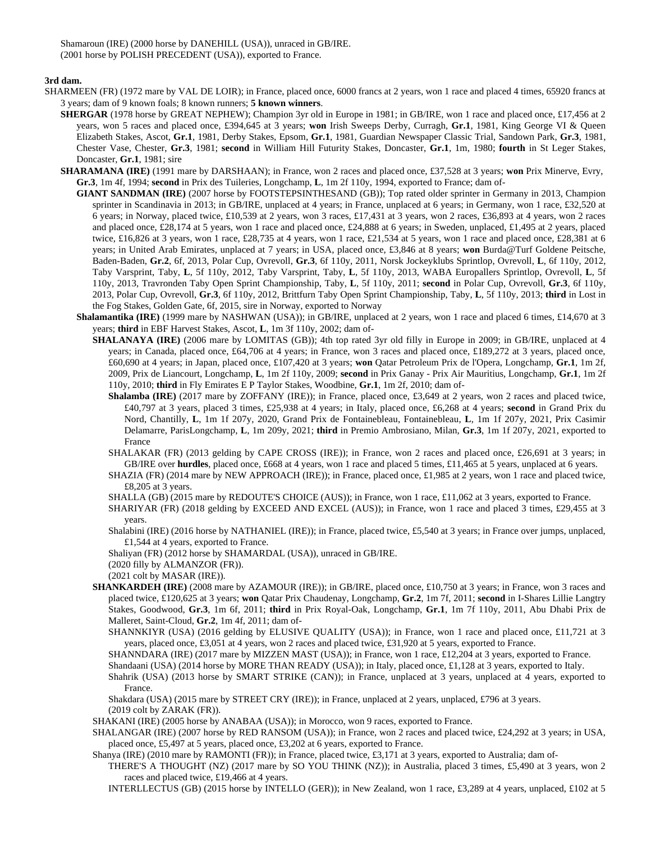Shamaroun (IRE) (2000 horse by DANEHILL (USA)), unraced in GB/IRE. (2001 horse by POLISH PRECEDENT (USA)), exported to France.

**3rd dam.**

- SHARMEEN (FR) (1972 mare by VAL DE LOIR); in France, placed once, 6000 francs at 2 years, won 1 race and placed 4 times, 65920 francs at 3 years; dam of 9 known foals; 8 known runners; **5 known winners**.
	- **SHERGAR** (1978 horse by GREAT NEPHEW); Champion 3yr old in Europe in 1981; in GB/IRE, won 1 race and placed once, £17,456 at 2 years, won 5 races and placed once, £394,645 at 3 years; **won** Irish Sweeps Derby, Curragh, **Gr.1**, 1981, King George VI & Queen Elizabeth Stakes, Ascot, **Gr.1**, 1981, Derby Stakes, Epsom, **Gr.1**, 1981, Guardian Newspaper Classic Trial, Sandown Park, **Gr.3**, 1981, Chester Vase, Chester, **Gr.3**, 1981; **second** in William Hill Futurity Stakes, Doncaster, **Gr.1**, 1m, 1980; **fourth** in St Leger Stakes, Doncaster, **Gr.1**, 1981; sire
	- **SHARAMANA (IRE)** (1991 mare by DARSHAAN); in France, won 2 races and placed once, £37,528 at 3 years; **won** Prix Minerve, Evry, **Gr.3**, 1m 4f, 1994; **second** in Prix des Tuileries, Longchamp, **L**, 1m 2f 110y, 1994, exported to France; dam of-
		- **GIANT SANDMAN (IRE)** (2007 horse by FOOTSTEPSINTHESAND (GB)); Top rated older sprinter in Germany in 2013, Champion sprinter in Scandinavia in 2013; in GB/IRE, unplaced at 4 years; in France, unplaced at 6 years; in Germany, won 1 race, £32,520 at 6 years; in Norway, placed twice, £10,539 at 2 years, won 3 races, £17,431 at 3 years, won 2 races, £36,893 at 4 years, won 2 races and placed once, £28,174 at 5 years, won 1 race and placed once, £24,888 at 6 years; in Sweden, unplaced, £1,495 at 2 years, placed twice, £16,826 at 3 years, won 1 race, £28,735 at 4 years, won 1 race, £21,534 at 5 years, won 1 race and placed once, £28,381 at 6 years; in United Arab Emirates, unplaced at 7 years; in USA, placed once, £3,846 at 8 years; **won** Burda@Turf Goldene Peitsche, Baden-Baden, **Gr.2**, 6f, 2013, Polar Cup, Ovrevoll, **Gr.3**, 6f 110y, 2011, Norsk Jockeyklubs Sprintlop, Ovrevoll, **L**, 6f 110y, 2012, Taby Varsprint, Taby, **L**, 5f 110y, 2012, Taby Varsprint, Taby, **L**, 5f 110y, 2013, WABA Europallers Sprintlop, Ovrevoll, **L**, 5f 110y, 2013, Travronden Taby Open Sprint Championship, Taby, **L**, 5f 110y, 2011; **second** in Polar Cup, Ovrevoll, **Gr.3**, 6f 110y, 2013, Polar Cup, Ovrevoll, **Gr.3**, 6f 110y, 2012, Brittfurn Taby Open Sprint Championship, Taby, **L**, 5f 110y, 2013; **third** in Lost in the Fog Stakes, Golden Gate, 6f, 2015, sire in Norway, exported to Norway
		- **Shalamantika (IRE)** (1999 mare by NASHWAN (USA)); in GB/IRE, unplaced at 2 years, won 1 race and placed 6 times, £14,670 at 3 years; **third** in EBF Harvest Stakes, Ascot, **L**, 1m 3f 110y, 2002; dam of-
			- **SHALANAYA (IRE)** (2006 mare by LOMITAS (GB)); 4th top rated 3yr old filly in Europe in 2009; in GB/IRE, unplaced at 4 years; in Canada, placed once, £64,706 at 4 years; in France, won 3 races and placed once, £189,272 at 3 years, placed once, £60,690 at 4 years; in Japan, placed once, £107,420 at 3 years; **won** Qatar Petroleum Prix de l'Opera, Longchamp, **Gr.1**, 1m 2f, 2009, Prix de Liancourt, Longchamp, **L**, 1m 2f 110y, 2009; **second** in Prix Ganay - Prix Air Mauritius, Longchamp, **Gr.1**, 1m 2f 110y, 2010; **third** in Fly Emirates E P Taylor Stakes, Woodbine, **Gr.1**, 1m 2f, 2010; dam of-
				- **Shalamba (IRE)** (2017 mare by ZOFFANY (IRE)); in France, placed once, £3,649 at 2 years, won 2 races and placed twice, £40,797 at 3 years, placed 3 times, £25,938 at 4 years; in Italy, placed once, £6,268 at 4 years; **second** in Grand Prix du Nord, Chantilly, **L**, 1m 1f 207y, 2020, Grand Prix de Fontainebleau, Fontainebleau, **L**, 1m 1f 207y, 2021, Prix Casimir Delamarre, ParisLongchamp, **L**, 1m 209y, 2021; **third** in Premio Ambrosiano, Milan, **Gr.3**, 1m 1f 207y, 2021, exported to France
				- SHALAKAR (FR) (2013 gelding by CAPE CROSS (IRE)); in France, won 2 races and placed once, £26,691 at 3 years; in GB/IRE over **hurdles**, placed once, £668 at 4 years, won 1 race and placed 5 times, £11,465 at 5 years, unplaced at 6 years.
				- SHAZIA (FR) (2014 mare by NEW APPROACH (IRE)); in France, placed once, £1,985 at 2 years, won 1 race and placed twice, £8,205 at 3 years.
				- SHALLA (GB) (2015 mare by REDOUTE'S CHOICE (AUS)); in France, won 1 race, £11,062 at 3 years, exported to France.
				- SHARIYAR (FR) (2018 gelding by EXCEED AND EXCEL (AUS)); in France, won 1 race and placed 3 times, £29,455 at 3 years.
				- Shalabini (IRE) (2016 horse by NATHANIEL (IRE)); in France, placed twice, £5,540 at 3 years; in France over jumps, unplaced, £1,544 at 4 years, exported to France.
				- Shaliyan (FR) (2012 horse by SHAMARDAL (USA)), unraced in GB/IRE.
				- (2020 filly by ALMANZOR (FR)).
				- (2021 colt by MASAR (IRE)).
			- **SHANKARDEH (IRE)** (2008 mare by AZAMOUR (IRE)); in GB/IRE, placed once, £10,750 at 3 years; in France, won 3 races and placed twice, £120,625 at 3 years; **won** Qatar Prix Chaudenay, Longchamp, **Gr.2**, 1m 7f, 2011; **second** in I-Shares Lillie Langtry Stakes, Goodwood, **Gr.3**, 1m 6f, 2011; **third** in Prix Royal-Oak, Longchamp, **Gr.1**, 1m 7f 110y, 2011, Abu Dhabi Prix de Malleret, Saint-Cloud, **Gr.2**, 1m 4f, 2011; dam of-

SHANNKIYR (USA) (2016 gelding by ELUSIVE QUALITY (USA)); in France, won 1 race and placed once, £11,721 at 3 years, placed once, £3,051 at 4 years, won 2 races and placed twice, £31,920 at 5 years, exported to France.

SHANNDARA (IRE) (2017 mare by MIZZEN MAST (USA)); in France, won 1 race, £12,204 at 3 years, exported to France.

Shandaani (USA) (2014 horse by MORE THAN READY (USA)); in Italy, placed once, £1,128 at 3 years, exported to Italy.

Shahrik (USA) (2013 horse by SMART STRIKE (CAN)); in France, unplaced at 3 years, unplaced at 4 years, exported to France.

Shakdara (USA) (2015 mare by STREET CRY (IRE)); in France, unplaced at 2 years, unplaced, £796 at 3 years.  $(2019 \text{ colt by ZARAK (FR)}).$ 

SHAKANI (IRE) (2005 horse by ANABAA (USA)); in Morocco, won 9 races, exported to France.

SHALANGAR (IRE) (2007 horse by RED RANSOM (USA)); in France, won 2 races and placed twice, £24,292 at 3 years; in USA, placed once, £5,497 at 5 years, placed once, £3,202 at 6 years, exported to France.

Shanya (IRE) (2010 mare by RAMONTI (FR)); in France, placed twice, £3,171 at 3 years, exported to Australia; dam of-

THERE'S A THOUGHT (NZ) (2017 mare by SO YOU THINK (NZ)); in Australia, placed 3 times, £5,490 at 3 years, won 2 races and placed twice, £19,466 at 4 years.

INTERLLECTUS (GB) (2015 horse by INTELLO (GER)); in New Zealand, won 1 race, £3,289 at 4 years, unplaced, £102 at 5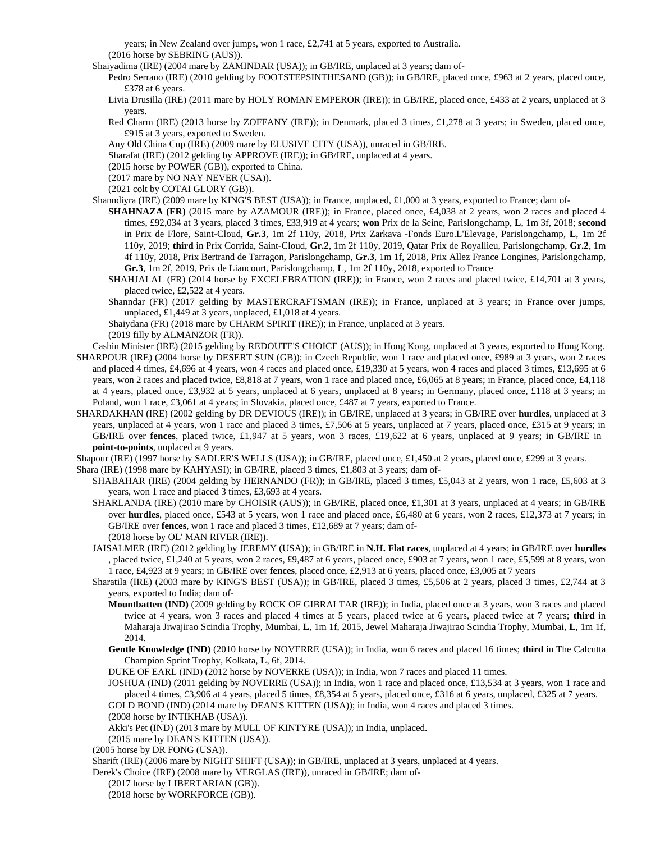years; in New Zealand over jumps, won 1 race, £2,741 at 5 years, exported to Australia. (2016 horse by SEBRING (AUS)).

Shaiyadima (IRE) (2004 mare by ZAMINDAR (USA)); in GB/IRE, unplaced at 3 years; dam of-

Pedro Serrano (IRE) (2010 gelding by FOOTSTEPSINTHESAND (GB)); in GB/IRE, placed once, £963 at 2 years, placed once, £378 at 6 years.

Livia Drusilla (IRE) (2011 mare by HOLY ROMAN EMPEROR (IRE)); in GB/IRE, placed once, £433 at 2 years, unplaced at 3 years.

Red Charm (IRE) (2013 horse by ZOFFANY (IRE)); in Denmark, placed 3 times, £1,278 at 3 years; in Sweden, placed once, £915 at 3 years, exported to Sweden.

Any Old China Cup (IRE) (2009 mare by ELUSIVE CITY (USA)), unraced in GB/IRE.

Sharafat (IRE) (2012 gelding by APPROVE (IRE)); in GB/IRE, unplaced at 4 years.

(2015 horse by POWER (GB)), exported to China.

(2017 mare by NO NAY NEVER (USA)).

(2021 colt by COTAI GLORY (GB)).

Shanndiyra (IRE) (2009 mare by KING'S BEST (USA)); in France, unplaced, £1,000 at 3 years, exported to France; dam of-

- **SHAHNAZA (FR)** (2015 mare by AZAMOUR (IRE)); in France, placed once, £4,038 at 2 years, won 2 races and placed 4 times, £92,034 at 3 years, placed 3 times, £33,919 at 4 years; **won** Prix de la Seine, Parislongchamp, **L**, 1m 3f, 2018; **second** in Prix de Flore, Saint-Cloud, **Gr.3**, 1m 2f 110y, 2018, Prix Zarkava -Fonds Euro.L'Elevage, Parislongchamp, **L**, 1m 2f 110y, 2019; **third** in Prix Corrida, Saint-Cloud, **Gr.2**, 1m 2f 110y, 2019, Qatar Prix de Royallieu, Parislongchamp, **Gr.2**, 1m 4f 110y, 2018, Prix Bertrand de Tarragon, Parislongchamp, **Gr.3**, 1m 1f, 2018, Prix Allez France Longines, Parislongchamp, **Gr.3**, 1m 2f, 2019, Prix de Liancourt, Parislongchamp, **L**, 1m 2f 110y, 2018, exported to France
- SHAHJALAL (FR) (2014 horse by EXCELEBRATION (IRE)); in France, won 2 races and placed twice, £14,701 at 3 years, placed twice, £2,522 at 4 years.

Shanndar (FR) (2017 gelding by MASTERCRAFTSMAN (IRE)); in France, unplaced at 3 years; in France over jumps, unplaced, £1,449 at 3 years, unplaced, £1,018 at 4 years.

Shaiydana (FR) (2018 mare by CHARM SPIRIT (IRE)); in France, unplaced at 3 years.

(2019 filly by ALMANZOR (FR)).

- Cashin Minister (IRE) (2015 gelding by REDOUTE'S CHOICE (AUS)); in Hong Kong, unplaced at 3 years, exported to Hong Kong. SHARPOUR (IRE) (2004 horse by DESERT SUN (GB)); in Czech Republic, won 1 race and placed once, £989 at 3 years, won 2 races and placed 4 times, £4,696 at 4 years, won 4 races and placed once, £19,330 at 5 years, won 4 races and placed 3 times, £13,695 at 6 years, won 2 races and placed twice, £8,818 at 7 years, won 1 race and placed once, £6,065 at 8 years; in France, placed once, £4,118 at 4 years, placed once, £3,932 at 5 years, unplaced at 6 years, unplaced at 8 years; in Germany, placed once, £118 at 3 years; in Poland, won 1 race, £3,061 at 4 years; in Slovakia, placed once, £487 at 7 years, exported to France.
- SHARDAKHAN (IRE) (2002 gelding by DR DEVIOUS (IRE)); in GB/IRE, unplaced at 3 years; in GB/IRE over **hurdles**, unplaced at 3 years, unplaced at 4 years, won 1 race and placed 3 times, £7,506 at 5 years, unplaced at 7 years, placed once, £315 at 9 years; in GB/IRE over **fences**, placed twice, £1,947 at 5 years, won 3 races, £19,622 at 6 years, unplaced at 9 years; in GB/IRE in **point-to-points**, unplaced at 9 years.

Shapour (IRE) (1997 horse by SADLER'S WELLS (USA)); in GB/IRE, placed once, £1,450 at 2 years, placed once, £299 at 3 years.

Shara (IRE) (1998 mare by KAHYASI); in GB/IRE, placed 3 times, £1,803 at 3 years; dam of-

SHABAHAR (IRE) (2004 gelding by HERNANDO (FR)); in GB/IRE, placed 3 times, £5,043 at 2 years, won 1 race, £5,603 at 3 years, won 1 race and placed 3 times, £3,693 at 4 years.

- SHARLANDA (IRE) (2010 mare by CHOISIR (AUS)); in GB/IRE, placed once, £1,301 at 3 years, unplaced at 4 years; in GB/IRE over **hurdles**, placed once, £543 at 5 years, won 1 race and placed once, £6,480 at 6 years, won 2 races, £12,373 at 7 years; in GB/IRE over **fences**, won 1 race and placed 3 times, £12,689 at 7 years; dam of- (2018 horse by OL' MAN RIVER (IRE)).
- JAISALMER (IRE) (2012 gelding by JEREMY (USA)); in GB/IRE in **N.H. Flat races**, unplaced at 4 years; in GB/IRE over **hurdles** , placed twice, £1,240 at 5 years, won 2 races, £9,487 at 6 years, placed once, £903 at 7 years, won 1 race, £5,599 at 8 years, won 1 race, £4,923 at 9 years; in GB/IRE over **fences**, placed once, £2,913 at 6 years, placed once, £3,005 at 7 years
- Sharatila (IRE) (2003 mare by KING'S BEST (USA)); in GB/IRE, placed 3 times, £5,506 at 2 years, placed 3 times, £2,744 at 3 years, exported to India; dam of-
	- **Mountbatten (IND)** (2009 gelding by ROCK OF GIBRALTAR (IRE)); in India, placed once at 3 years, won 3 races and placed twice at 4 years, won 3 races and placed 4 times at 5 years, placed twice at 6 years, placed twice at 7 years; **third** in Maharaja Jiwajirao Scindia Trophy, Mumbai, **L**, 1m 1f, 2015, Jewel Maharaja Jiwajirao Scindia Trophy, Mumbai, **L**, 1m 1f, 2014.
	- **Gentle Knowledge (IND)** (2010 horse by NOVERRE (USA)); in India, won 6 races and placed 16 times; **third** in The Calcutta Champion Sprint Trophy, Kolkata, **L**, 6f, 2014.

DUKE OF EARL (IND) (2012 horse by NOVERRE (USA)); in India, won 7 races and placed 11 times.

JOSHUA (IND) (2011 gelding by NOVERRE (USA)); in India, won 1 race and placed once, £13,534 at 3 years, won 1 race and placed 4 times, £3,906 at 4 years, placed 5 times, £8,354 at 5 years, placed once, £316 at 6 years, unplaced, £325 at 7 years.

GOLD BOND (IND) (2014 mare by DEAN'S KITTEN (USA)); in India, won 4 races and placed 3 times.

(2008 horse by INTIKHAB (USA)).

Akki's Pet (IND) (2013 mare by MULL OF KINTYRE (USA)); in India, unplaced.

(2015 mare by DEAN'S KITTEN (USA)).

(2005 horse by DR FONG (USA)).

Sharift (IRE) (2006 mare by NIGHT SHIFT (USA)); in GB/IRE, unplaced at 3 years, unplaced at 4 years.

Derek's Choice (IRE) (2008 mare by VERGLAS (IRE)), unraced in GB/IRE; dam of-

(2017 horse by LIBERTARIAN (GB)).

(2018 horse by WORKFORCE (GB)).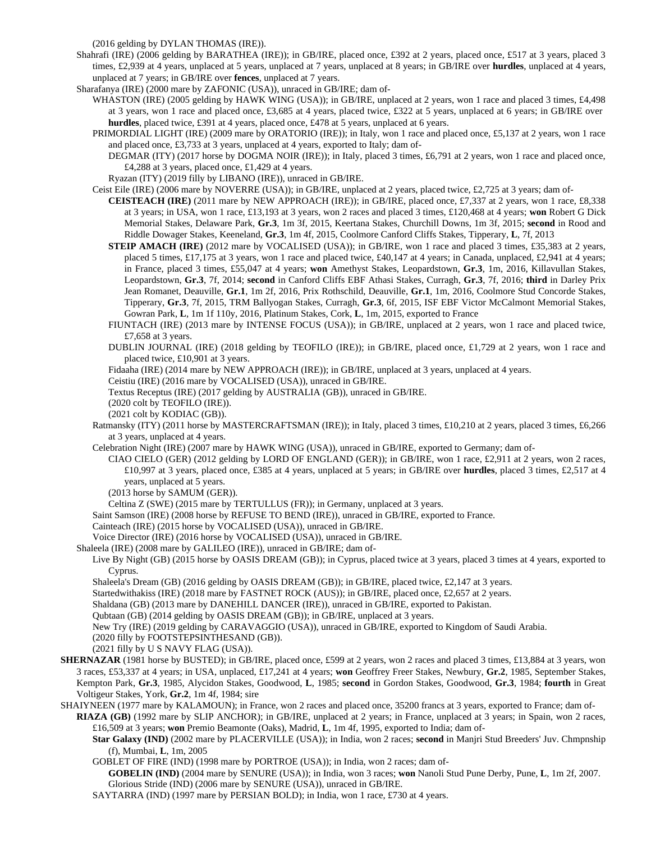(2016 gelding by DYLAN THOMAS (IRE)).

- Shahrafi (IRE) (2006 gelding by BARATHEA (IRE)); in GB/IRE, placed once, £392 at 2 years, placed once, £517 at 3 years, placed 3 times, £2,939 at 4 years, unplaced at 5 years, unplaced at 7 years, unplaced at 8 years; in GB/IRE over **hurdles**, unplaced at 4 years, unplaced at 7 years; in GB/IRE over **fences**, unplaced at 7 years.
- Sharafanya (IRE) (2000 mare by ZAFONIC (USA)), unraced in GB/IRE; dam of-
	- WHASTON (IRE) (2005 gelding by HAWK WING (USA)); in GB/IRE, unplaced at 2 years, won 1 race and placed 3 times, £4,498 at 3 years, won 1 race and placed once, £3,685 at 4 years, placed twice, £322 at 5 years, unplaced at 6 years; in GB/IRE over **hurdles**, placed twice, £391 at 4 years, placed once, £478 at 5 years, unplaced at 6 years.
	- PRIMORDIAL LIGHT (IRE) (2009 mare by ORATORIO (IRE)); in Italy, won 1 race and placed once, £5,137 at 2 years, won 1 race and placed once, £3,733 at 3 years, unplaced at 4 years, exported to Italy; dam of-
		- DEGMAR (ITY) (2017 horse by DOGMA NOIR (IRE)); in Italy, placed 3 times, £6,791 at 2 years, won 1 race and placed once, £4,288 at 3 years, placed once, £1,429 at 4 years.

Ryazan (ITY) (2019 filly by LIBANO (IRE)), unraced in GB/IRE.

Ceist Eile (IRE) (2006 mare by NOVERRE (USA)); in GB/IRE, unplaced at 2 years, placed twice, £2,725 at 3 years; dam of-

- **CEISTEACH (IRE)** (2011 mare by NEW APPROACH (IRE)); in GB/IRE, placed once, £7,337 at 2 years, won 1 race, £8,338 at 3 years; in USA, won 1 race, £13,193 at 3 years, won 2 races and placed 3 times, £120,468 at 4 years; **won** Robert G Dick Memorial Stakes, Delaware Park, **Gr.3**, 1m 3f, 2015, Keertana Stakes, Churchill Downs, 1m 3f, 2015; **second** in Rood and Riddle Dowager Stakes, Keeneland, **Gr.3**, 1m 4f, 2015, Coolmore Canford Cliffs Stakes, Tipperary, **L**, 7f, 2013
- **STEIP AMACH (IRE)** (2012 mare by VOCALISED (USA)); in GB/IRE, won 1 race and placed 3 times, £35,383 at 2 years, placed 5 times, £17,175 at 3 years, won 1 race and placed twice, £40,147 at 4 years; in Canada, unplaced, £2,941 at 4 years; in France, placed 3 times, £55,047 at 4 years; **won** Amethyst Stakes, Leopardstown, **Gr.3**, 1m, 2016, Killavullan Stakes, Leopardstown, **Gr.3**, 7f, 2014; **second** in Canford Cliffs EBF Athasi Stakes, Curragh, **Gr.3**, 7f, 2016; **third** in Darley Prix Jean Romanet, Deauville, **Gr.1**, 1m 2f, 2016, Prix Rothschild, Deauville, **Gr.1**, 1m, 2016, Coolmore Stud Concorde Stakes, Tipperary, **Gr.3**, 7f, 2015, TRM Ballyogan Stakes, Curragh, **Gr.3**, 6f, 2015, ISF EBF Victor McCalmont Memorial Stakes, Gowran Park, **L**, 1m 1f 110y, 2016, Platinum Stakes, Cork, **L**, 1m, 2015, exported to France
- FIUNTACH (IRE) (2013 mare by INTENSE FOCUS (USA)); in GB/IRE, unplaced at 2 years, won 1 race and placed twice, £7,658 at 3 years.
- DUBLIN JOURNAL (IRE) (2018 gelding by TEOFILO (IRE)); in GB/IRE, placed once, £1,729 at 2 years, won 1 race and placed twice, £10,901 at 3 years.

Fidaaha (IRE) (2014 mare by NEW APPROACH (IRE)); in GB/IRE, unplaced at 3 years, unplaced at 4 years.

Ceistiu (IRE) (2016 mare by VOCALISED (USA)), unraced in GB/IRE.

Textus Receptus (IRE) (2017 gelding by AUSTRALIA (GB)), unraced in GB/IRE.

(2020 colt by TEOFILO (IRE)).

(2021 colt by KODIAC (GB)).

- Ratmansky (ITY) (2011 horse by MASTERCRAFTSMAN (IRE)); in Italy, placed 3 times, £10,210 at 2 years, placed 3 times, £6,266 at 3 years, unplaced at 4 years.
- Celebration Night (IRE) (2007 mare by HAWK WING (USA)), unraced in GB/IRE, exported to Germany; dam of-
	- CIAO CIELO (GER) (2012 gelding by LORD OF ENGLAND (GER)); in GB/IRE, won 1 race, £2,911 at 2 years, won 2 races, £10,997 at 3 years, placed once, £385 at 4 years, unplaced at 5 years; in GB/IRE over **hurdles**, placed 3 times, £2,517 at 4 years, unplaced at 5 years.
	- (2013 horse by SAMUM (GER)).

Celtina Z (SWE) (2015 mare by TERTULLUS (FR)); in Germany, unplaced at 3 years.

Saint Samson (IRE) (2008 horse by REFUSE TO BEND (IRE)), unraced in GB/IRE, exported to France.

Cainteach (IRE) (2015 horse by VOCALISED (USA)), unraced in GB/IRE.

Voice Director (IRE) (2016 horse by VOCALISED (USA)), unraced in GB/IRE.

Shaleela (IRE) (2008 mare by GALILEO (IRE)), unraced in GB/IRE; dam of-

Live By Night (GB) (2015 horse by OASIS DREAM (GB)); in Cyprus, placed twice at 3 years, placed 3 times at 4 years, exported to Cyprus.

Shaleela's Dream (GB) (2016 gelding by OASIS DREAM (GB)); in GB/IRE, placed twice, £2,147 at 3 years.

Startedwithakiss (IRE) (2018 mare by FASTNET ROCK (AUS)); in GB/IRE, placed once, £2,657 at 2 years.

Shaldana (GB) (2013 mare by DANEHILL DANCER (IRE)), unraced in GB/IRE, exported to Pakistan.

Qubtaan (GB) (2014 gelding by OASIS DREAM (GB)); in GB/IRE, unplaced at 3 years.

New Try (IRE) (2019 gelding by CARAVAGGIO (USA)), unraced in GB/IRE, exported to Kingdom of Saudi Arabia.

(2020 filly by FOOTSTEPSINTHESAND (GB)).

(2021 filly by U S NAVY FLAG (USA)).

- SHERNAZAR (1981 horse by BUSTED); in GB/IRE, placed once, £599 at 2 years, won 2 races and placed 3 times, £13,884 at 3 years, won 3 races, £53,337 at 4 years; in USA, unplaced, £17,241 at 4 years; **won** Geoffrey Freer Stakes, Newbury, **Gr.2**, 1985, September Stakes, Kempton Park, **Gr.3**, 1985, Alycidon Stakes, Goodwood, **L**, 1985; **second** in Gordon Stakes, Goodwood, **Gr.3**, 1984; **fourth** in Great Voltigeur Stakes, York, **Gr.2**, 1m 4f, 1984; sire
- SHAIYNEEN (1977 mare by KALAMOUN); in France, won 2 races and placed once, 35200 francs at 3 years, exported to France; dam of-
	- **RIAZA (GB)** (1992 mare by SLIP ANCHOR); in GB/IRE, unplaced at 2 years; in France, unplaced at 3 years; in Spain, won 2 races, £16,509 at 3 years; **won** Premio Beamonte (Oaks), Madrid, **L**, 1m 4f, 1995, exported to India; dam of-
		- **Star Galaxy (IND)** (2002 mare by PLACERVILLE (USA)); in India, won 2 races; **second** in Manjri Stud Breeders' Juv. Chmpnship (f), Mumbai, **L**, 1m, 2005

GOBLET OF FIRE (IND) (1998 mare by PORTROE (USA)); in India, won 2 races; dam of-

**GOBELIN (IND)** (2004 mare by SENURE (USA)); in India, won 3 races; **won** Nanoli Stud Pune Derby, Pune, **L**, 1m 2f, 2007. Glorious Stride (IND) (2006 mare by SENURE (USA)), unraced in GB/IRE.

SAYTARRA (IND) (1997 mare by PERSIAN BOLD); in India, won 1 race, £730 at 4 years.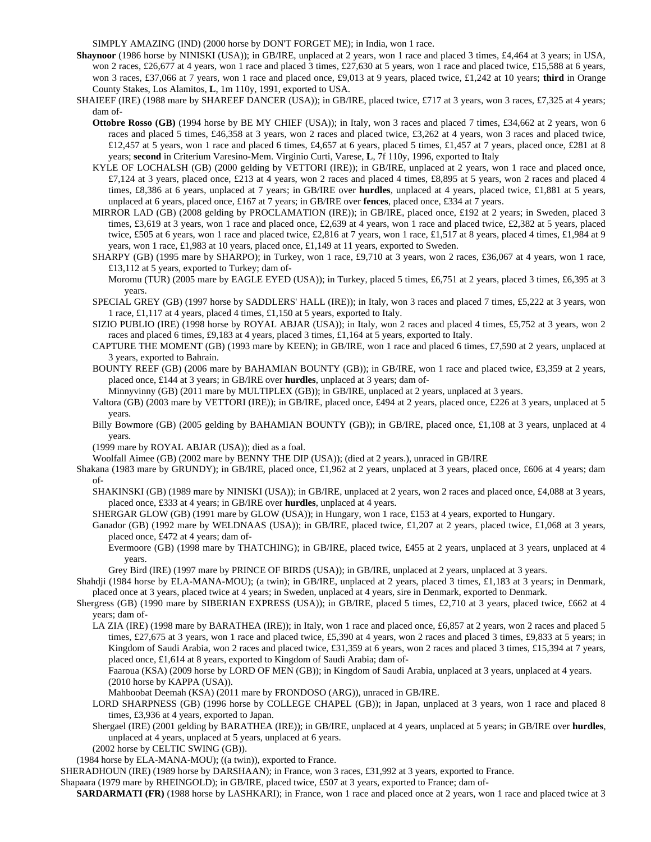SIMPLY AMAZING (IND) (2000 horse by DON'T FORGET ME); in India, won 1 race.

- **Shaynoor** (1986 horse by NINISKI (USA)); in GB/IRE, unplaced at 2 years, won 1 race and placed 3 times, £4,464 at 3 years; in USA, won 2 races, £26,677 at 4 years, won 1 race and placed 3 times, £27,630 at 5 years, won 1 race and placed twice, £15,588 at 6 years, won 3 races, £37,066 at 7 years, won 1 race and placed once, £9,013 at 9 years, placed twice, £1,242 at 10 years; **third** in Orange County Stakes, Los Alamitos, **L**, 1m 110y, 1991, exported to USA.
- SHAIEEF (IRE) (1988 mare by SHAREEF DANCER (USA)); in GB/IRE, placed twice, £717 at 3 years, won 3 races, £7,325 at 4 years; dam of-
	- **Ottobre Rosso (GB)** (1994 horse by BE MY CHIEF (USA)); in Italy, won 3 races and placed 7 times, £34,662 at 2 years, won 6 races and placed 5 times, £46,358 at 3 years, won 2 races and placed twice, £3,262 at 4 years, won 3 races and placed twice, £12,457 at 5 years, won 1 race and placed 6 times, £4,657 at 6 years, placed 5 times, £1,457 at 7 years, placed once, £281 at 8 years; **second** in Criterium Varesino-Mem. Virginio Curti, Varese, **L**, 7f 110y, 1996, exported to Italy
	- KYLE OF LOCHALSH (GB) (2000 gelding by VETTORI (IRE)); in GB/IRE, unplaced at 2 years, won 1 race and placed once, £7,124 at 3 years, placed once, £213 at 4 years, won 2 races and placed 4 times, £8,895 at 5 years, won 2 races and placed 4 times, £8,386 at 6 years, unplaced at 7 years; in GB/IRE over **hurdles**, unplaced at 4 years, placed twice, £1,881 at 5 years, unplaced at 6 years, placed once, £167 at 7 years; in GB/IRE over **fences**, placed once, £334 at 7 years.
	- MIRROR LAD (GB) (2008 gelding by PROCLAMATION (IRE)); in GB/IRE, placed once, £192 at 2 years; in Sweden, placed 3 times, £3,619 at 3 years, won 1 race and placed once, £2,639 at 4 years, won 1 race and placed twice, £2,382 at 5 years, placed twice, £505 at 6 years, won 1 race and placed twice, £2,816 at 7 years, won 1 race, £1,517 at 8 years, placed 4 times, £1,984 at 9 years, won 1 race, £1,983 at 10 years, placed once, £1,149 at 11 years, exported to Sweden.
	- SHARPY (GB) (1995 mare by SHARPO); in Turkey, won 1 race, £9,710 at 3 years, won 2 races, £36,067 at 4 years, won 1 race, £13,112 at 5 years, exported to Turkey; dam of-

Moromu (TUR) (2005 mare by EAGLE EYED (USA)); in Turkey, placed 5 times, £6,751 at 2 years, placed 3 times, £6,395 at 3 years.

- SPECIAL GREY (GB) (1997 horse by SADDLERS' HALL (IRE)); in Italy, won 3 races and placed 7 times, £5,222 at 3 years, won 1 race, £1,117 at 4 years, placed 4 times, £1,150 at 5 years, exported to Italy.
- SIZIO PUBLIO (IRE) (1998 horse by ROYAL ABJAR (USA)); in Italy, won 2 races and placed 4 times, £5,752 at 3 years, won 2 races and placed 6 times, £9,183 at 4 years, placed 3 times, £1,164 at 5 years, exported to Italy.
- CAPTURE THE MOMENT (GB) (1993 mare by KEEN); in GB/IRE, won 1 race and placed 6 times, £7,590 at 2 years, unplaced at 3 years, exported to Bahrain.
- BOUNTY REEF (GB) (2006 mare by BAHAMIAN BOUNTY (GB)); in GB/IRE, won 1 race and placed twice, £3,359 at 2 years, placed once, £144 at 3 years; in GB/IRE over **hurdles**, unplaced at 3 years; dam of-

Minnyvinny (GB) (2011 mare by MULTIPLEX (GB)); in GB/IRE, unplaced at 2 years, unplaced at 3 years.

- Valtora (GB) (2003 mare by VETTORI (IRE)); in GB/IRE, placed once, £494 at 2 years, placed once, £226 at 3 years, unplaced at 5 years.
- Billy Bowmore (GB) (2005 gelding by BAHAMIAN BOUNTY (GB)); in GB/IRE, placed once, £1,108 at 3 years, unplaced at 4 years.
- (1999 mare by ROYAL ABJAR (USA)); died as a foal.

Woolfall Aimee (GB) (2002 mare by BENNY THE DIP (USA)); (died at 2 years.), unraced in GB/IRE

- Shakana (1983 mare by GRUNDY); in GB/IRE, placed once, £1,962 at 2 years, unplaced at 3 years, placed once, £606 at 4 years; dam of-
	- SHAKINSKI (GB) (1989 mare by NINISKI (USA)); in GB/IRE, unplaced at 2 years, won 2 races and placed once, £4,088 at 3 years, placed once, £333 at 4 years; in GB/IRE over **hurdles**, unplaced at 4 years.

SHERGAR GLOW (GB) (1991 mare by GLOW (USA)); in Hungary, won 1 race, £153 at 4 years, exported to Hungary.

Ganador (GB) (1992 mare by WELDNAAS (USA)); in GB/IRE, placed twice, £1,207 at 2 years, placed twice, £1,068 at 3 years, placed once, £472 at 4 years; dam of-

Evermoore (GB) (1998 mare by THATCHING); in GB/IRE, placed twice, £455 at 2 years, unplaced at 3 years, unplaced at 4 years.

Grey Bird (IRE) (1997 mare by PRINCE OF BIRDS (USA)); in GB/IRE, unplaced at 2 years, unplaced at 3 years.

- Shahdji (1984 horse by ELA-MANA-MOU); (a twin); in GB/IRE, unplaced at 2 years, placed 3 times, £1,183 at 3 years; in Denmark, placed once at 3 years, placed twice at 4 years; in Sweden, unplaced at 4 years, sire in Denmark, exported to Denmark.
- Shergress (GB) (1990 mare by SIBERIAN EXPRESS (USA)); in GB/IRE, placed 5 times, £2,710 at 3 years, placed twice, £662 at 4 years; dam of-
	- LA ZIA (IRE) (1998 mare by BARATHEA (IRE)); in Italy, won 1 race and placed once, £6,857 at 2 years, won 2 races and placed 5 times, £27,675 at 3 years, won 1 race and placed twice, £5,390 at 4 years, won 2 races and placed 3 times, £9,833 at 5 years; in Kingdom of Saudi Arabia, won 2 races and placed twice, £31,359 at 6 years, won 2 races and placed 3 times, £15,394 at 7 years, placed once, £1,614 at 8 years, exported to Kingdom of Saudi Arabia; dam of-
		- Faaroua (KSA) (2009 horse by LORD OF MEN (GB)); in Kingdom of Saudi Arabia, unplaced at 3 years, unplaced at 4 years. (2010 horse by KAPPA (USA)).
		- Mahboobat Deemah (KSA) (2011 mare by FRONDOSO (ARG)), unraced in GB/IRE.
	- LORD SHARPNESS (GB) (1996 horse by COLLEGE CHAPEL (GB)); in Japan, unplaced at 3 years, won 1 race and placed 8 times, £3,936 at 4 years, exported to Japan.
	- Shergael (IRE) (2001 gelding by BARATHEA (IRE)); in GB/IRE, unplaced at 4 years, unplaced at 5 years; in GB/IRE over **hurdles**, unplaced at 4 years, unplaced at 5 years, unplaced at 6 years.
	- (2002 horse by CELTIC SWING (GB)).

(1984 horse by ELA-MANA-MOU); ((a twin)), exported to France.

SHERADHOUN (IRE) (1989 horse by DARSHAAN); in France, won 3 races, £31,992 at 3 years, exported to France.

Shapaara (1979 mare by RHEINGOLD); in GB/IRE, placed twice, £507 at 3 years, exported to France; dam of-

**SARDARMATI (FR)** (1988 horse by LASHKARI); in France, won 1 race and placed once at 2 years, won 1 race and placed twice at 3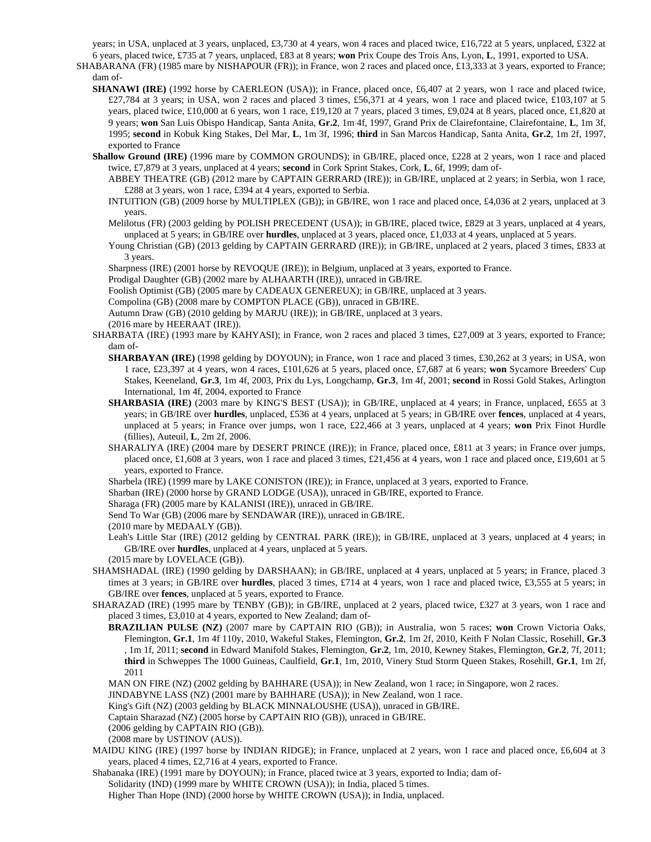years; in USA, unplaced at 3 years, unplaced, £3,730 at 4 years, won 4 races and placed twice, £16,722 at 5 years, unplaced, £322 at 6 years, placed twice, £735 at 7 years, unplaced, £83 at 8 years; **won** Prix Coupe des Trois Ans, Lyon, **L**, 1991, exported to USA.

SHABARANA (FR) (1985 mare by NISHAPOUR (FR)); in France, won 2 races and placed once, £13,333 at 3 years, exported to France; dam of-

- **SHANAWI (IRE)** (1992 horse by CAERLEON (USA)); in France, placed once, £6,407 at 2 years, won 1 race and placed twice, £27,784 at 3 years; in USA, won 2 races and placed 3 times, £56,371 at 4 years, won 1 race and placed twice, £103,107 at 5 years, placed twice, £10,000 at 6 years, won 1 race, £19,120 at 7 years, placed 3 times, £9,024 at 8 years, placed once, £1,820 at 9 years; **won** San Luis Obispo Handicap, Santa Anita, **Gr.2**, 1m 4f, 1997, Grand Prix de Clairefontaine, Clairefontaine, **L**, 1m 3f, 1995; **second** in Kobuk King Stakes, Del Mar, **L**, 1m 3f, 1996; **third** in San Marcos Handicap, Santa Anita, **Gr.2**, 1m 2f, 1997, exported to France
- **Shallow Ground (IRE)** (1996 mare by COMMON GROUNDS); in GB/IRE, placed once, £228 at 2 years, won 1 race and placed twice, £7,879 at 3 years, unplaced at 4 years; **second** in Cork Sprint Stakes, Cork, **L**, 6f, 1999; dam of-
	- ABBEY THEATRE (GB) (2012 mare by CAPTAIN GERRARD (IRE)); in GB/IRE, unplaced at 2 years; in Serbia, won 1 race, £288 at 3 years, won 1 race, £394 at 4 years, exported to Serbia.
	- INTUITION (GB) (2009 horse by MULTIPLEX (GB)); in GB/IRE, won 1 race and placed once, £4,036 at 2 years, unplaced at 3 years.
	- Melilotus (FR) (2003 gelding by POLISH PRECEDENT (USA)); in GB/IRE, placed twice, £829 at 3 years, unplaced at 4 years, unplaced at 5 years; in GB/IRE over **hurdles**, unplaced at 3 years, placed once, £1,033 at 4 years, unplaced at 5 years.
	- Young Christian (GB) (2013 gelding by CAPTAIN GERRARD (IRE)); in GB/IRE, unplaced at 2 years, placed 3 times, £833 at 3 years.

Sharpness (IRE) (2001 horse by REVOQUE (IRE)); in Belgium, unplaced at 3 years, exported to France.

Prodigal Daughter (GB) (2002 mare by ALHAARTH (IRE)), unraced in GB/IRE.

Foolish Optimist (GB) (2005 mare by CADEAUX GENEREUX); in GB/IRE, unplaced at 3 years.

Compolina (GB) (2008 mare by COMPTON PLACE (GB)), unraced in GB/IRE.

Autumn Draw (GB) (2010 gelding by MARJU (IRE)); in GB/IRE, unplaced at 3 years.

(2016 mare by HEERAAT (IRE)).

- SHARBATA (IRE) (1993 mare by KAHYASI); in France, won 2 races and placed 3 times, £27,009 at 3 years, exported to France; dam of-
	- **SHARBAYAN (IRE)** (1998 gelding by DOYOUN); in France, won 1 race and placed 3 times, £30,262 at 3 years; in USA, won 1 race, £23,397 at 4 years, won 4 races, £101,626 at 5 years, placed once, £7,687 at 6 years; **won** Sycamore Breeders' Cup Stakes, Keeneland, **Gr.3**, 1m 4f, 2003, Prix du Lys, Longchamp, **Gr.3**, 1m 4f, 2001; **second** in Rossi Gold Stakes, Arlington International, 1m 4f, 2004, exported to France
	- **SHARBASIA (IRE)** (2003 mare by KING'S BEST (USA)); in GB/IRE, unplaced at 4 years; in France, unplaced, £655 at 3 years; in GB/IRE over **hurdles**, unplaced, £536 at 4 years, unplaced at 5 years; in GB/IRE over **fences**, unplaced at 4 years, unplaced at 5 years; in France over jumps, won 1 race, £22,466 at 3 years, unplaced at 4 years; **won** Prix Finot Hurdle (fillies), Auteuil, **L**, 2m 2f, 2006.
	- SHARALIYA (IRE) (2004 mare by DESERT PRINCE (IRE)); in France, placed once, £811 at 3 years; in France over jumps, placed once, £1,608 at 3 years, won 1 race and placed 3 times, £21,456 at 4 years, won 1 race and placed once, £19,601 at 5 years, exported to France.

Sharbela (IRE) (1999 mare by LAKE CONISTON (IRE)); in France, unplaced at 3 years, exported to France.

Sharban (IRE) (2000 horse by GRAND LODGE (USA)), unraced in GB/IRE, exported to France.

Sharaga (FR) (2005 mare by KALANISI (IRE)), unraced in GB/IRE.

Send To War (GB) (2006 mare by SENDAWAR (IRE)), unraced in GB/IRE.

(2010 mare by MEDAALY (GB)).

Leah's Little Star (IRE) (2012 gelding by CENTRAL PARK (IRE)); in GB/IRE, unplaced at 3 years, unplaced at 4 years; in GB/IRE over **hurdles**, unplaced at 4 years, unplaced at 5 years.

(2015 mare by LOVELACE (GB)).

- SHAMSHADAL (IRE) (1990 gelding by DARSHAAN); in GB/IRE, unplaced at 4 years, unplaced at 5 years; in France, placed 3 times at 3 years; in GB/IRE over **hurdles**, placed 3 times, £714 at 4 years, won 1 race and placed twice, £3,555 at 5 years; in GB/IRE over **fences**, unplaced at 5 years, exported to France.
- SHARAZAD (IRE) (1995 mare by TENBY (GB)); in GB/IRE, unplaced at 2 years, placed twice, £327 at 3 years, won 1 race and placed 3 times, £3,010 at 4 years, exported to New Zealand; dam of-
	- **BRAZILIAN PULSE (NZ)** (2007 mare by CAPTAIN RIO (GB)); in Australia, won 5 races; **won** Crown Victoria Oaks, Flemington, **Gr.1**, 1m 4f 110y, 2010, Wakeful Stakes, Flemington, **Gr.2**, 1m 2f, 2010, Keith F Nolan Classic, Rosehill, **Gr.3** , 1m 1f, 2011; **second** in Edward Manifold Stakes, Flemington, **Gr.2**, 1m, 2010, Kewney Stakes, Flemington, **Gr.2**, 7f, 2011; **third** in Schweppes The 1000 Guineas, Caulfield, **Gr.1**, 1m, 2010, Vinery Stud Storm Queen Stakes, Rosehill, **Gr.1**, 1m 2f, 2011
	- MAN ON FIRE (NZ) (2002 gelding by BAHHARE (USA)); in New Zealand, won 1 race; in Singapore, won 2 races.
	- JINDABYNE LASS (NZ) (2001 mare by BAHHARE (USA)); in New Zealand, won 1 race.

King's Gift (NZ) (2003 gelding by BLACK MINNALOUSHE (USA)), unraced in GB/IRE.

Captain Sharazad (NZ) (2005 horse by CAPTAIN RIO (GB)), unraced in GB/IRE.

(2006 gelding by CAPTAIN RIO (GB)).

(2008 mare by USTINOV (AUS)).

MAIDU KING (IRE) (1997 horse by INDIAN RIDGE); in France, unplaced at 2 years, won 1 race and placed once, £6,604 at 3 years, placed 4 times, £2,716 at 4 years, exported to France.

Shabanaka (IRE) (1991 mare by DOYOUN); in France, placed twice at 3 years, exported to India; dam of-

Solidarity (IND) (1999 mare by WHITE CROWN (USA)); in India, placed 5 times.

Higher Than Hope (IND) (2000 horse by WHITE CROWN (USA)); in India, unplaced.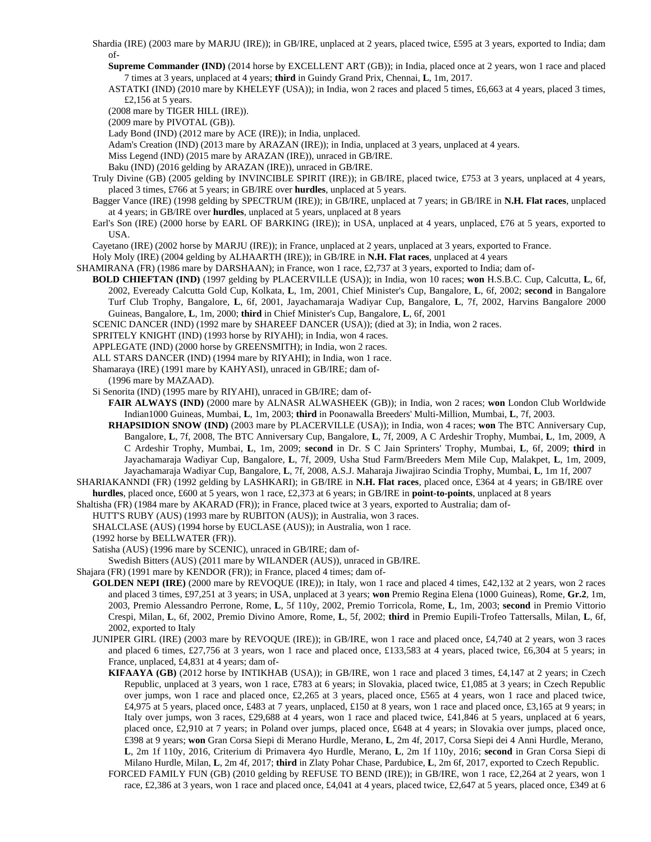Shardia (IRE) (2003 mare by MARJU (IRE)); in GB/IRE, unplaced at 2 years, placed twice, £595 at 3 years, exported to India; dam of-

**Supreme Commander (IND)** (2014 horse by EXCELLENT ART (GB)); in India, placed once at 2 years, won 1 race and placed 7 times at 3 years, unplaced at 4 years; **third** in Guindy Grand Prix, Chennai, **L**, 1m, 2017.

ASTATKI (IND) (2010 mare by KHELEYF (USA)); in India, won 2 races and placed 5 times, £6,663 at 4 years, placed 3 times, £2,156 at 5 years.

(2008 mare by TIGER HILL (IRE)).

(2009 mare by PIVOTAL (GB)).

Lady Bond (IND) (2012 mare by ACE (IRE)); in India, unplaced.

Adam's Creation (IND) (2013 mare by ARAZAN (IRE)); in India, unplaced at 3 years, unplaced at 4 years.

- Miss Legend (IND) (2015 mare by ARAZAN (IRE)), unraced in GB/IRE.
- Baku (IND) (2016 gelding by ARAZAN (IRE)), unraced in GB/IRE.
- Truly Divine (GB) (2005 gelding by INVINCIBLE SPIRIT (IRE)); in GB/IRE, placed twice, £753 at 3 years, unplaced at 4 years, placed 3 times, £766 at 5 years; in GB/IRE over **hurdles**, unplaced at 5 years.
- Bagger Vance (IRE) (1998 gelding by SPECTRUM (IRE)); in GB/IRE, unplaced at 7 years; in GB/IRE in **N.H. Flat races**, unplaced at 4 years; in GB/IRE over **hurdles**, unplaced at 5 years, unplaced at 8 years
- Earl's Son (IRE) (2000 horse by EARL OF BARKING (IRE)); in USA, unplaced at 4 years, unplaced, £76 at 5 years, exported to USA.

Cayetano (IRE) (2002 horse by MARJU (IRE)); in France, unplaced at 2 years, unplaced at 3 years, exported to France.

Holy Moly (IRE) (2004 gelding by ALHAARTH (IRE)); in GB/IRE in **N.H. Flat races**, unplaced at 4 years

SHAMIRANA (FR) (1986 mare by DARSHAAN); in France, won 1 race, £2,737 at 3 years, exported to India; dam of-

**BOLD CHIEFTAN (IND)** (1997 gelding by PLACERVILLE (USA)); in India, won 10 races; **won** H.S.B.C. Cup, Calcutta, **L**, 6f, 2002, Eveready Calcutta Gold Cup, Kolkata, **L**, 1m, 2001, Chief Minister's Cup, Bangalore, **L**, 6f, 2002; **second** in Bangalore Turf Club Trophy, Bangalore, **L**, 6f, 2001, Jayachamaraja Wadiyar Cup, Bangalore, **L**, 7f, 2002, Harvins Bangalore 2000 Guineas, Bangalore, **L**, 1m, 2000; **third** in Chief Minister's Cup, Bangalore, **L**, 6f, 2001

SCENIC DANCER (IND) (1992 mare by SHAREEF DANCER (USA)); (died at 3); in India, won 2 races.

- SPRITELY KNIGHT (IND) (1993 horse by RIYAHI); in India, won 4 races.
- APPLEGATE (IND) (2000 horse by GREENSMITH); in India, won 2 races.
- ALL STARS DANCER (IND) (1994 mare by RIYAHI); in India, won 1 race.
- Shamaraya (IRE) (1991 mare by KAHYASI), unraced in GB/IRE; dam of-

(1996 mare by MAZAAD).

Si Senorita (IND) (1995 mare by RIYAHI), unraced in GB/IRE; dam of-

**FAIR ALWAYS (IND)** (2000 mare by ALNASR ALWASHEEK (GB)); in India, won 2 races; **won** London Club Worldwide Indian1000 Guineas, Mumbai, **L**, 1m, 2003; **third** in Poonawalla Breeders' Multi-Million, Mumbai, **L**, 7f, 2003.

**RHAPSIDION SNOW (IND)** (2003 mare by PLACERVILLE (USA)); in India, won 4 races; **won** The BTC Anniversary Cup, Bangalore, **L**, 7f, 2008, The BTC Anniversary Cup, Bangalore, **L**, 7f, 2009, A C Ardeshir Trophy, Mumbai, **L**, 1m, 2009, A C Ardeshir Trophy, Mumbai, **L**, 1m, 2009; **second** in Dr. S C Jain Sprinters' Trophy, Mumbai, **L**, 6f, 2009; **third** in Jayachamaraja Wadiyar Cup, Bangalore, **L**, 7f, 2009, Usha Stud Farm/Breeders Mem Mile Cup, Malakpet, **L**, 1m, 2009, Jayachamaraja Wadiyar Cup, Bangalore, **L**, 7f, 2008, A.S.J. Maharaja Jiwajirao Scindia Trophy, Mumbai, **L**, 1m 1f, 2007

SHARIAKANNDI (FR) (1992 gelding by LASHKARI); in GB/IRE in **N.H. Flat races**, placed once, £364 at 4 years; in GB/IRE over **hurdles**, placed once, £600 at 5 years, won 1 race, £2,373 at 6 years; in GB/IRE in **point-to-points**, unplaced at 8 years

Shaltisha (FR) (1984 mare by AKARAD (FR)); in France, placed twice at 3 years, exported to Australia; dam of-

HUTT'S RUBY (AUS) (1993 mare by RUBITON (AUS)); in Australia, won 3 races.

SHALCLASE (AUS) (1994 horse by EUCLASE (AUS)); in Australia, won 1 race.

(1992 horse by BELLWATER (FR)).

Satisha (AUS) (1996 mare by SCENIC), unraced in GB/IRE; dam of-

Swedish Bitters (AUS) (2011 mare by WILANDER (AUS)), unraced in GB/IRE.

Shajara (FR) (1991 mare by KENDOR (FR)); in France, placed 4 times; dam of-

**GOLDEN NEPI (IRE)** (2000 mare by REVOQUE (IRE)); in Italy, won 1 race and placed 4 times, £42,132 at 2 years, won 2 races and placed 3 times, £97,251 at 3 years; in USA, unplaced at 3 years; **won** Premio Regina Elena (1000 Guineas), Rome, **Gr.2**, 1m, 2003, Premio Alessandro Perrone, Rome, **L**, 5f 110y, 2002, Premio Torricola, Rome, **L**, 1m, 2003; **second** in Premio Vittorio Crespi, Milan, **L**, 6f, 2002, Premio Divino Amore, Rome, **L**, 5f, 2002; **third** in Premio Eupili-Trofeo Tattersalls, Milan, **L**, 6f, 2002, exported to Italy

JUNIPER GIRL (IRE) (2003 mare by REVOQUE (IRE)); in GB/IRE, won 1 race and placed once, £4,740 at 2 years, won 3 races and placed 6 times, £27,756 at 3 years, won 1 race and placed once, £133,583 at 4 years, placed twice, £6,304 at 5 years; in France, unplaced, £4,831 at 4 years; dam of-

**KIFAAYA (GB)** (2012 horse by INTIKHAB (USA)); in GB/IRE, won 1 race and placed 3 times, £4,147 at 2 years; in Czech Republic, unplaced at 3 years, won 1 race, £783 at 6 years; in Slovakia, placed twice, £1,085 at 3 years; in Czech Republic over jumps, won 1 race and placed once, £2,265 at 3 years, placed once, £565 at 4 years, won 1 race and placed twice, £4,975 at 5 years, placed once, £483 at 7 years, unplaced, £150 at 8 years, won 1 race and placed once, £3,165 at 9 years; in Italy over jumps, won 3 races, £29,688 at 4 years, won 1 race and placed twice, £41,846 at 5 years, unplaced at 6 years, placed once, £2,910 at 7 years; in Poland over jumps, placed once, £648 at 4 years; in Slovakia over jumps, placed once, £398 at 9 years; **won** Gran Corsa Siepi di Merano Hurdle, Merano, **L**, 2m 4f, 2017, Corsa Siepi dei 4 Anni Hurdle, Merano, **L**, 2m 1f 110y, 2016, Criterium di Primavera 4yo Hurdle, Merano, **L**, 2m 1f 110y, 2016; **second** in Gran Corsa Siepi di Milano Hurdle, Milan, **L**, 2m 4f, 2017; **third** in Zlaty Pohar Chase, Pardubice, **L**, 2m 6f, 2017, exported to Czech Republic.

FORCED FAMILY FUN (GB) (2010 gelding by REFUSE TO BEND (IRE)); in GB/IRE, won 1 race, £2,264 at 2 years, won 1 race, £2,386 at 3 years, won 1 race and placed once, £4,041 at 4 years, placed twice, £2,647 at 5 years, placed once, £349 at 6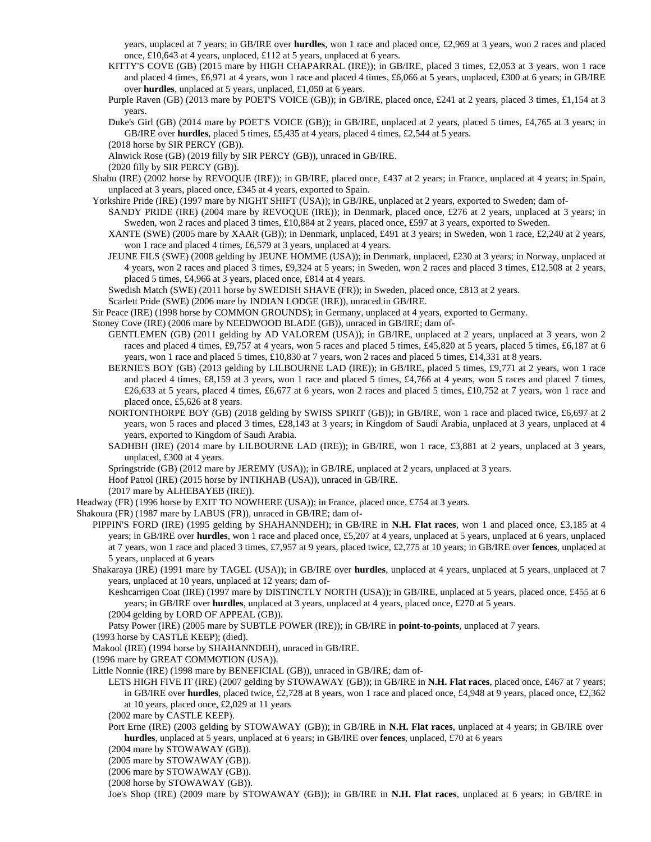years, unplaced at 7 years; in GB/IRE over **hurdles**, won 1 race and placed once, £2,969 at 3 years, won 2 races and placed once, £10,643 at 4 years, unplaced, £112 at 5 years, unplaced at 6 years.

KITTY'S COVE (GB) (2015 mare by HIGH CHAPARRAL (IRE)); in GB/IRE, placed 3 times, £2,053 at 3 years, won 1 race and placed 4 times, £6,971 at 4 years, won 1 race and placed 4 times, £6,066 at 5 years, unplaced, £300 at 6 years; in GB/IRE over **hurdles**, unplaced at 5 years, unplaced, £1,050 at 6 years.

Purple Raven (GB) (2013 mare by POET'S VOICE (GB)); in GB/IRE, placed once, £241 at 2 years, placed 3 times, £1,154 at 3 years.

- Duke's Girl (GB) (2014 mare by POET'S VOICE (GB)); in GB/IRE, unplaced at 2 years, placed 5 times, £4,765 at 3 years; in GB/IRE over **hurdles**, placed 5 times, £5,435 at 4 years, placed 4 times, £2,544 at 5 years.
- (2018 horse by SIR PERCY (GB)).

Alnwick Rose (GB) (2019 filly by SIR PERCY (GB)), unraced in GB/IRE.

- Shabu (IRE) (2002 horse by REVOQUE (IRE)); in GB/IRE, placed once, £437 at 2 years; in France, unplaced at 4 years; in Spain, unplaced at 3 years, placed once, £345 at 4 years, exported to Spain.
- Yorkshire Pride (IRE) (1997 mare by NIGHT SHIFT (USA)); in GB/IRE, unplaced at 2 years, exported to Sweden; dam of-
	- SANDY PRIDE (IRE) (2004 mare by REVOQUE (IRE)); in Denmark, placed once, £276 at 2 years, unplaced at 3 years; in Sweden, won 2 races and placed 3 times, £10,884 at 2 years, placed once, £597 at 3 years, exported to Sweden.
	- XANTE (SWE) (2005 mare by XAAR (GB)); in Denmark, unplaced, £491 at 3 years; in Sweden, won 1 race, £2,240 at 2 years, won 1 race and placed 4 times, £6,579 at 3 years, unplaced at 4 years.
	- JEUNE FILS (SWE) (2008 gelding by JEUNE HOMME (USA)); in Denmark, unplaced, £230 at 3 years; in Norway, unplaced at 4 years, won 2 races and placed 3 times, £9,324 at 5 years; in Sweden, won 2 races and placed 3 times, £12,508 at 2 years, placed 5 times, £4,966 at 3 years, placed once, £814 at 4 years.

Swedish Match (SWE) (2011 horse by SWEDISH SHAVE (FR)); in Sweden, placed once, £813 at 2 years.

Scarlett Pride (SWE) (2006 mare by INDIAN LODGE (IRE)), unraced in GB/IRE.

Sir Peace (IRE) (1998 horse by COMMON GROUNDS); in Germany, unplaced at 4 years, exported to Germany.

Stoney Cove (IRE) (2006 mare by NEEDWOOD BLADE (GB)), unraced in GB/IRE; dam of-

- GENTLEMEN (GB) (2011 gelding by AD VALOREM (USA)); in GB/IRE, unplaced at 2 years, unplaced at 3 years, won 2 races and placed 4 times, £9,757 at 4 years, won 5 races and placed 5 times, £45,820 at 5 years, placed 5 times, £6,187 at 6 years, won 1 race and placed 5 times, £10,830 at 7 years, won 2 races and placed 5 times, £14,331 at 8 years.
- BERNIE'S BOY (GB) (2013 gelding by LILBOURNE LAD (IRE)); in GB/IRE, placed 5 times, £9,771 at 2 years, won 1 race and placed 4 times, £8,159 at 3 years, won 1 race and placed 5 times, £4,766 at 4 years, won 5 races and placed 7 times, £26,633 at 5 years, placed 4 times, £6,677 at 6 years, won 2 races and placed 5 times, £10,752 at 7 years, won 1 race and placed once, £5,626 at 8 years.
- NORTONTHORPE BOY (GB) (2018 gelding by SWISS SPIRIT (GB)); in GB/IRE, won 1 race and placed twice, £6,697 at 2 years, won 5 races and placed 3 times, £28,143 at 3 years; in Kingdom of Saudi Arabia, unplaced at 3 years, unplaced at 4 years, exported to Kingdom of Saudi Arabia.
- SADHBH (IRE) (2014 mare by LILBOURNE LAD (IRE)); in GB/IRE, won 1 race, £3,881 at 2 years, unplaced at 3 years, unplaced, £300 at 4 years.

Springstride (GB) (2012 mare by JEREMY (USA)); in GB/IRE, unplaced at 2 years, unplaced at 3 years.

Hoof Patrol (IRE) (2015 horse by INTIKHAB (USA)), unraced in GB/IRE.

- (2017 mare by ALHEBAYEB (IRE)).
- Headway (FR) (1996 horse by EXIT TO NOWHERE (USA)); in France, placed once, £754 at 3 years.

Shakoura (FR) (1987 mare by LABUS (FR)), unraced in GB/IRE; dam of-

- PIPPIN'S FORD (IRE) (1995 gelding by SHAHANNDEH); in GB/IRE in **N.H. Flat races**, won 1 and placed once, £3,185 at 4 years; in GB/IRE over **hurdles**, won 1 race and placed once, £5,207 at 4 years, unplaced at 5 years, unplaced at 6 years, unplaced at 7 years, won 1 race and placed 3 times, £7,957 at 9 years, placed twice, £2,775 at 10 years; in GB/IRE over **fences**, unplaced at 5 years, unplaced at 6 years
- Shakaraya (IRE) (1991 mare by TAGEL (USA)); in GB/IRE over **hurdles**, unplaced at 4 years, unplaced at 5 years, unplaced at 7 years, unplaced at 10 years, unplaced at 12 years; dam of-

Keshcarrigen Coat (IRE) (1997 mare by DISTINCTLY NORTH (USA)); in GB/IRE, unplaced at 5 years, placed once, £455 at 6 years; in GB/IRE over **hurdles**, unplaced at 3 years, unplaced at 4 years, placed once, £270 at 5 years. (2004 gelding by LORD OF APPEAL (GB)).

Patsy Power (IRE) (2005 mare by SUBTLE POWER (IRE)); in GB/IRE in **point-to-points**, unplaced at 7 years.

(1993 horse by CASTLE KEEP); (died).

Makool (IRE) (1994 horse by SHAHANNDEH), unraced in GB/IRE.

(1996 mare by GREAT COMMOTION (USA)).

Little Nonnie (IRE) (1998 mare by BENEFICIAL (GB)), unraced in GB/IRE; dam of-

- LETS HIGH FIVE IT (IRE) (2007 gelding by STOWAWAY (GB)); in GB/IRE in **N.H. Flat races**, placed once, £467 at 7 years; in GB/IRE over **hurdles**, placed twice, £2,728 at 8 years, won 1 race and placed once, £4,948 at 9 years, placed once, £2,362 at 10 years, placed once, £2,029 at 11 years
- (2002 mare by CASTLE KEEP).
- Port Erne (IRE) (2003 gelding by STOWAWAY (GB)); in GB/IRE in **N.H. Flat races**, unplaced at 4 years; in GB/IRE over **hurdles**, unplaced at 5 years, unplaced at 6 years; in GB/IRE over **fences**, unplaced, £70 at 6 years
- (2004 mare by STOWAWAY (GB)).
- (2005 mare by STOWAWAY (GB)).
- (2006 mare by STOWAWAY (GB)).

(2008 horse by STOWAWAY (GB)).

Joe's Shop (IRE) (2009 mare by STOWAWAY (GB)); in GB/IRE in **N.H. Flat races**, unplaced at 6 years; in GB/IRE in

<sup>(2020</sup> filly by SIR PERCY (GB)).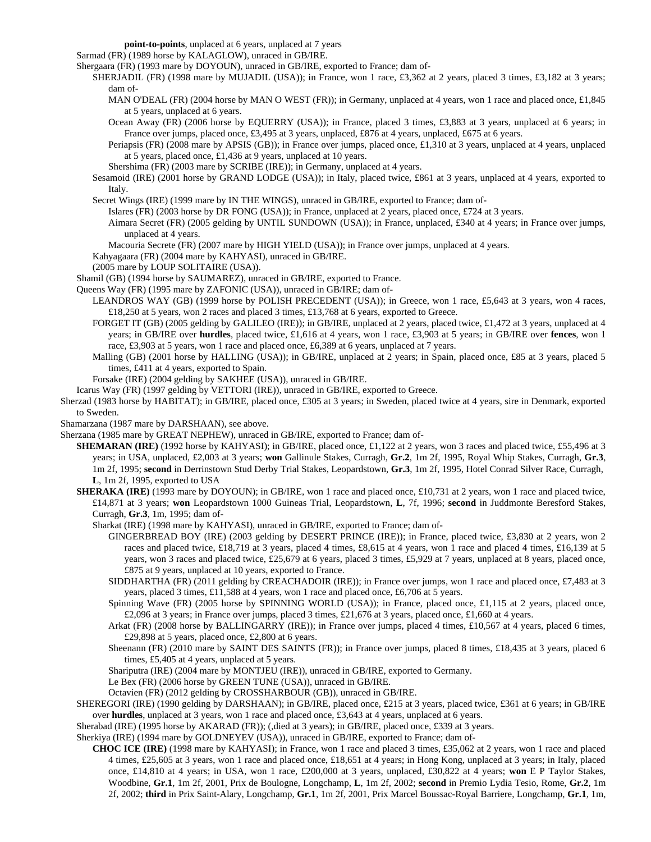**point-to-points**, unplaced at 6 years, unplaced at 7 years

Sarmad (FR) (1989 horse by KALAGLOW), unraced in GB/IRE.

Shergaara (FR) (1993 mare by DOYOUN), unraced in GB/IRE, exported to France; dam of-

- SHERJADIL (FR) (1998 mare by MUJADIL (USA)); in France, won 1 race, £3,362 at 2 years, placed 3 times, £3,182 at 3 years; dam of-
	- MAN O'DEAL (FR) (2004 horse by MAN O WEST (FR)); in Germany, unplaced at 4 years, won 1 race and placed once, £1,845 at 5 years, unplaced at 6 years.
	- Ocean Away (FR) (2006 horse by EQUERRY (USA)); in France, placed 3 times, £3,883 at 3 years, unplaced at 6 years; in France over jumps, placed once, £3,495 at 3 years, unplaced, £876 at 4 years, unplaced, £675 at 6 years.
	- Periapsis (FR) (2008 mare by APSIS (GB)); in France over jumps, placed once, £1,310 at 3 years, unplaced at 4 years, unplaced at 5 years, placed once, £1,436 at 9 years, unplaced at 10 years.
	- Shershima (FR) (2003 mare by SCRIBE (IRE)); in Germany, unplaced at 4 years.
- Sesamoid (IRE) (2001 horse by GRAND LODGE (USA)); in Italy, placed twice, £861 at 3 years, unplaced at 4 years, exported to Italy.

Secret Wings (IRE) (1999 mare by IN THE WINGS), unraced in GB/IRE, exported to France; dam of-

Islares (FR) (2003 horse by DR FONG (USA)); in France, unplaced at 2 years, placed once, £724 at 3 years.

Aimara Secret (FR) (2005 gelding by UNTIL SUNDOWN (USA)); in France, unplaced, £340 at 4 years; in France over jumps, unplaced at 4 years.

- Macouria Secrete (FR) (2007 mare by HIGH YIELD (USA)); in France over jumps, unplaced at 4 years.
- Kahyagaara (FR) (2004 mare by KAHYASI), unraced in GB/IRE.
- (2005 mare by LOUP SOLITAIRE (USA)).

Shamil (GB) (1994 horse by SAUMAREZ), unraced in GB/IRE, exported to France.

- Queens Way (FR) (1995 mare by ZAFONIC (USA)), unraced in GB/IRE; dam of-
	- LEANDROS WAY (GB) (1999 horse by POLISH PRECEDENT (USA)); in Greece, won 1 race, £5,643 at 3 years, won 4 races, £18,250 at 5 years, won 2 races and placed 3 times, £13,768 at 6 years, exported to Greece.
	- FORGET IT (GB) (2005 gelding by GALILEO (IRE)); in GB/IRE, unplaced at 2 years, placed twice, £1,472 at 3 years, unplaced at 4 years; in GB/IRE over **hurdles**, placed twice, £1,616 at 4 years, won 1 race, £3,903 at 5 years; in GB/IRE over **fences**, won 1 race, £3,903 at 5 years, won 1 race and placed once, £6,389 at 6 years, unplaced at 7 years.
	- Malling (GB) (2001 horse by HALLING (USA)); in GB/IRE, unplaced at 2 years; in Spain, placed once, £85 at 3 years, placed 5 times, £411 at 4 years, exported to Spain.
	- Forsake (IRE) (2004 gelding by SAKHEE (USA)), unraced in GB/IRE.
- Icarus Way (FR) (1997 gelding by VETTORI (IRE)), unraced in GB/IRE, exported to Greece.
- Sherzad (1983 horse by HABITAT); in GB/IRE, placed once, £305 at 3 years; in Sweden, placed twice at 4 years, sire in Denmark, exported to Sweden.
- Shamarzana (1987 mare by DARSHAAN), see above.
- Sherzana (1985 mare by GREAT NEPHEW), unraced in GB/IRE, exported to France; dam of-
	- **SHEMARAN (IRE)** (1992 horse by KAHYASI); in GB/IRE, placed once, £1,122 at 2 years, won 3 races and placed twice, £55,496 at 3 years; in USA, unplaced, £2,003 at 3 years; **won** Gallinule Stakes, Curragh, **Gr.2**, 1m 2f, 1995, Royal Whip Stakes, Curragh, **Gr.3**, 1m 2f, 1995; **second** in Derrinstown Stud Derby Trial Stakes, Leopardstown, **Gr.3**, 1m 2f, 1995, Hotel Conrad Silver Race, Curragh, **L**, 1m 2f, 1995, exported to USA
		- **SHERAKA (IRE)** (1993 mare by DOYOUN); in GB/IRE, won 1 race and placed once, £10,731 at 2 years, won 1 race and placed twice, £14,871 at 3 years; **won** Leopardstown 1000 Guineas Trial, Leopardstown, **L**, 7f, 1996; **second** in Juddmonte Beresford Stakes, Curragh, **Gr.3**, 1m, 1995; dam of-
			- Sharkat (IRE) (1998 mare by KAHYASI), unraced in GB/IRE, exported to France; dam of-
				- GINGERBREAD BOY (IRE) (2003 gelding by DESERT PRINCE (IRE)); in France, placed twice, £3,830 at 2 years, won 2 races and placed twice, £18,719 at 3 years, placed 4 times, £8,615 at 4 years, won 1 race and placed 4 times, £16,139 at 5 years, won 3 races and placed twice, £25,679 at 6 years, placed 3 times, £5,929 at 7 years, unplaced at 8 years, placed once, £875 at 9 years, unplaced at 10 years, exported to France.
				- SIDDHARTHA (FR) (2011 gelding by CREACHADOIR (IRE)); in France over jumps, won 1 race and placed once, £7,483 at 3 years, placed 3 times, £11,588 at 4 years, won 1 race and placed once, £6,706 at 5 years.
				- Spinning Wave (FR) (2005 horse by SPINNING WORLD (USA)); in France, placed once, £1,115 at 2 years, placed once, £2,096 at 3 years; in France over jumps, placed 3 times, £21,676 at 3 years, placed once, £1,660 at 4 years.
				- Arkat (FR) (2008 horse by BALLINGARRY (IRE)); in France over jumps, placed 4 times, £10,567 at 4 years, placed 6 times, £29,898 at 5 years, placed once, £2,800 at 6 years.
				- Sheenann (FR) (2010 mare by SAINT DES SAINTS (FR)); in France over jumps, placed 8 times, £18,435 at 3 years, placed 6 times, £5,405 at 4 years, unplaced at 5 years.

Shariputra (IRE) (2004 mare by MONTJEU (IRE)), unraced in GB/IRE, exported to Germany.

Le Bex (FR) (2006 horse by GREEN TUNE (USA)), unraced in GB/IRE.

Octavien (FR) (2012 gelding by CROSSHARBOUR (GB)), unraced in GB/IRE.

- SHEREGORI (IRE) (1990 gelding by DARSHAAN); in GB/IRE, placed once, £215 at 3 years, placed twice, £361 at 6 years; in GB/IRE over **hurdles**, unplaced at 3 years, won 1 race and placed once, £3,643 at 4 years, unplaced at 6 years.
- Sherabad (IRE) (1995 horse by AKARAD (FR)); (,died at 3 years); in GB/IRE, placed once, £339 at 3 years.
- Sherkiya (IRE) (1994 mare by GOLDNEYEV (USA)), unraced in GB/IRE, exported to France; dam of-
	- **CHOC ICE (IRE)** (1998 mare by KAHYASI); in France, won 1 race and placed 3 times, £35,062 at 2 years, won 1 race and placed 4 times, £25,605 at 3 years, won 1 race and placed once, £18,651 at 4 years; in Hong Kong, unplaced at 3 years; in Italy, placed once, £14,810 at 4 years; in USA, won 1 race, £200,000 at 3 years, unplaced, £30,822 at 4 years; **won** E P Taylor Stakes, Woodbine, **Gr.1**, 1m 2f, 2001, Prix de Boulogne, Longchamp, **L**, 1m 2f, 2002; **second** in Premio Lydia Tesio, Rome, **Gr.2**, 1m 2f, 2002; **third** in Prix Saint-Alary, Longchamp, **Gr.1**, 1m 2f, 2001, Prix Marcel Boussac-Royal Barriere, Longchamp, **Gr.1**, 1m,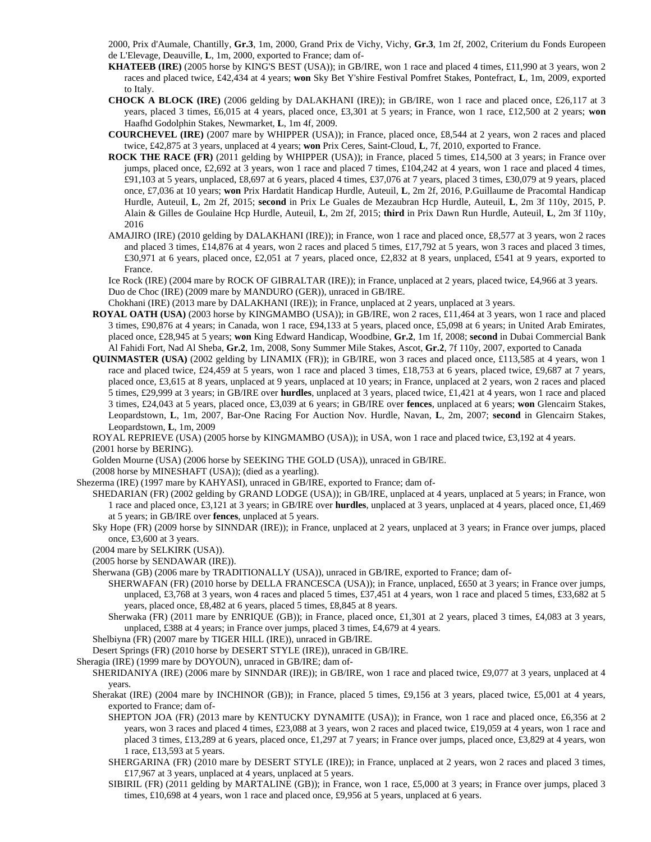2000, Prix d'Aumale, Chantilly, **Gr.3**, 1m, 2000, Grand Prix de Vichy, Vichy, **Gr.3**, 1m 2f, 2002, Criterium du Fonds Europeen de L'Elevage, Deauville, **L**, 1m, 2000, exported to France; dam of-

- **KHATEEB (IRE)** (2005 horse by KING'S BEST (USA)); in GB/IRE, won 1 race and placed 4 times, £11,990 at 3 years, won 2 races and placed twice, £42,434 at 4 years; **won** Sky Bet Y'shire Festival Pomfret Stakes, Pontefract, **L**, 1m, 2009, exported to Italy.
- **CHOCK A BLOCK (IRE)** (2006 gelding by DALAKHANI (IRE)); in GB/IRE, won 1 race and placed once, £26,117 at 3 years, placed 3 times, £6,015 at 4 years, placed once, £3,301 at 5 years; in France, won 1 race, £12,500 at 2 years; **won** Haafhd Godolphin Stakes, Newmarket, **L**, 1m 4f, 2009.
- **COURCHEVEL (IRE)** (2007 mare by WHIPPER (USA)); in France, placed once, £8,544 at 2 years, won 2 races and placed twice, £42,875 at 3 years, unplaced at 4 years; **won** Prix Ceres, Saint-Cloud, **L**, 7f, 2010, exported to France.
- **ROCK THE RACE (FR)** (2011 gelding by WHIPPER (USA)); in France, placed 5 times, £14,500 at 3 years; in France over jumps, placed once, £2,692 at 3 years, won 1 race and placed 7 times, £104,242 at 4 years, won 1 race and placed 4 times, £91,103 at 5 years, unplaced, £8,697 at 6 years, placed 4 times, £37,076 at 7 years, placed 3 times, £30,079 at 9 years, placed once, £7,036 at 10 years; **won** Prix Hardatit Handicap Hurdle, Auteuil, **L**, 2m 2f, 2016, P.Guillaume de Pracomtal Handicap Hurdle, Auteuil, **L**, 2m 2f, 2015; **second** in Prix Le Guales de Mezaubran Hcp Hurdle, Auteuil, **L**, 2m 3f 110y, 2015, P. Alain & Gilles de Goulaine Hcp Hurdle, Auteuil, **L**, 2m 2f, 2015; **third** in Prix Dawn Run Hurdle, Auteuil, **L**, 2m 3f 110y, 2016
- AMAJIRO (IRE) (2010 gelding by DALAKHANI (IRE)); in France, won 1 race and placed once, £8,577 at 3 years, won 2 races and placed 3 times, £14,876 at 4 years, won 2 races and placed 5 times, £17,792 at 5 years, won 3 races and placed 3 times, £30,971 at 6 years, placed once, £2,051 at 7 years, placed once, £2,832 at 8 years, unplaced, £541 at 9 years, exported to France.

Ice Rock (IRE) (2004 mare by ROCK OF GIBRALTAR (IRE)); in France, unplaced at 2 years, placed twice, £4,966 at 3 years. Duo de Choc (IRE) (2009 mare by MANDURO (GER)), unraced in GB/IRE.

Chokhani (IRE) (2013 mare by DALAKHANI (IRE)); in France, unplaced at 2 years, unplaced at 3 years.

- **ROYAL OATH (USA)** (2003 horse by KINGMAMBO (USA)); in GB/IRE, won 2 races, £11,464 at 3 years, won 1 race and placed 3 times, £90,876 at 4 years; in Canada, won 1 race, £94,133 at 5 years, placed once, £5,098 at 6 years; in United Arab Emirates, placed once, £28,945 at 5 years; **won** King Edward Handicap, Woodbine, **Gr.2**, 1m 1f, 2008; **second** in Dubai Commercial Bank Al Fahidi Fort, Nad Al Sheba, **Gr.2**, 1m, 2008, Sony Summer Mile Stakes, Ascot, **Gr.2**, 7f 110y, 2007, exported to Canada
- **QUINMASTER (USA)** (2002 gelding by LINAMIX (FR)); in GB/IRE, won 3 races and placed once, £113,585 at 4 years, won 1 race and placed twice, £24,459 at 5 years, won 1 race and placed 3 times, £18,753 at 6 years, placed twice, £9,687 at 7 years, placed once, £3,615 at 8 years, unplaced at 9 years, unplaced at 10 years; in France, unplaced at 2 years, won 2 races and placed 5 times, £29,999 at 3 years; in GB/IRE over **hurdles**, unplaced at 3 years, placed twice, £1,421 at 4 years, won 1 race and placed 3 times, £24,043 at 5 years, placed once, £3,039 at 6 years; in GB/IRE over **fences**, unplaced at 6 years; **won** Glencairn Stakes, Leopardstown, **L**, 1m, 2007, Bar-One Racing For Auction Nov. Hurdle, Navan, **L**, 2m, 2007; **second** in Glencairn Stakes, Leopardstown, **L**, 1m, 2009

ROYAL REPRIEVE (USA) (2005 horse by KINGMAMBO (USA)); in USA, won 1 race and placed twice, £3,192 at 4 years. (2001 horse by BERING).

Golden Mourne (USA) (2006 horse by SEEKING THE GOLD (USA)), unraced in GB/IRE.

(2008 horse by MINESHAFT (USA)); (died as a yearling).

Shezerma (IRE) (1997 mare by KAHYASI), unraced in GB/IRE, exported to France; dam of-

- SHEDARIAN (FR) (2002 gelding by GRAND LODGE (USA)); in GB/IRE, unplaced at 4 years, unplaced at 5 years; in France, won 1 race and placed once, £3,121 at 3 years; in GB/IRE over **hurdles**, unplaced at 3 years, unplaced at 4 years, placed once, £1,469 at 5 years; in GB/IRE over **fences**, unplaced at 5 years.
- Sky Hope (FR) (2009 horse by SINNDAR (IRE)); in France, unplaced at 2 years, unplaced at 3 years; in France over jumps, placed once, £3,600 at 3 years.
- (2004 mare by SELKIRK (USA)).
- (2005 horse by SENDAWAR (IRE)).

Sherwana (GB) (2006 mare by TRADITIONALLY (USA)), unraced in GB/IRE, exported to France; dam of-

- SHERWAFAN (FR) (2010 horse by DELLA FRANCESCA (USA)); in France, unplaced, £650 at 3 years; in France over jumps, unplaced, £3,768 at 3 years, won 4 races and placed 5 times, £37,451 at 4 years, won 1 race and placed 5 times, £33,682 at 5 years, placed once, £8,482 at 6 years, placed 5 times, £8,845 at 8 years.
- Sherwaka (FR) (2011 mare by ENRIQUE (GB)); in France, placed once, £1,301 at 2 years, placed 3 times, £4,083 at 3 years, unplaced, £388 at 4 years; in France over jumps, placed 3 times, £4,679 at 4 years.

Shelbiyna (FR) (2007 mare by TIGER HILL (IRE)), unraced in GB/IRE.

- Desert Springs (FR) (2010 horse by DESERT STYLE (IRE)), unraced in GB/IRE.
- Sheragia (IRE) (1999 mare by DOYOUN), unraced in GB/IRE; dam of-
	- SHERIDANIYA (IRE) (2006 mare by SINNDAR (IRE)); in GB/IRE, won 1 race and placed twice, £9,077 at 3 years, unplaced at 4 years.
	- Sherakat (IRE) (2004 mare by INCHINOR (GB)); in France, placed 5 times, £9,156 at 3 years, placed twice, £5,001 at 4 years, exported to France; dam of-
		- SHEPTON JOA (FR) (2013 mare by KENTUCKY DYNAMITE (USA)); in France, won 1 race and placed once, £6,356 at 2 years, won 3 races and placed 4 times, £23,088 at 3 years, won 2 races and placed twice, £19,059 at 4 years, won 1 race and placed 3 times, £13,289 at 6 years, placed once, £1,297 at 7 years; in France over jumps, placed once, £3,829 at 4 years, won 1 race, £13,593 at 5 years.
		- SHERGARINA (FR) (2010 mare by DESERT STYLE (IRE)); in France, unplaced at 2 years, won 2 races and placed 3 times, £17,967 at 3 years, unplaced at 4 years, unplaced at 5 years.
		- SIBIRIL (FR) (2011 gelding by MARTALINE (GB)); in France, won 1 race, £5,000 at 3 years; in France over jumps, placed 3 times, £10,698 at 4 years, won 1 race and placed once, £9,956 at 5 years, unplaced at 6 years.